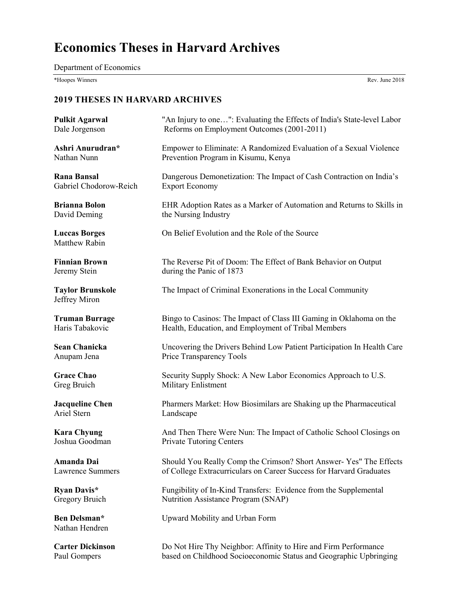# **Economics Theses in Harvard Archives**

Department of Economics

\*Hoopes Winners Rev. June 2018

| <b>Pulkit Agarwal</b>                    | "An Injury to one": Evaluating the Effects of India's State-level Labor |
|------------------------------------------|-------------------------------------------------------------------------|
| Dale Jorgenson                           | Reforms on Employment Outcomes (2001-2011)                              |
| Ashri Anurudran*                         | Empower to Eliminate: A Randomized Evaluation of a Sexual Violence      |
| Nathan Nunn                              | Prevention Program in Kisumu, Kenya                                     |
| <b>Rana Bansal</b>                       | Dangerous Demonetization: The Impact of Cash Contraction on India's     |
| Gabriel Chodorow-Reich                   | <b>Export Economy</b>                                                   |
| <b>Brianna Bolon</b>                     | EHR Adoption Rates as a Marker of Automation and Returns to Skills in   |
| David Deming                             | the Nursing Industry                                                    |
| <b>Luccas Borges</b><br>Matthew Rabin    | On Belief Evolution and the Role of the Source                          |
| <b>Finnian Brown</b>                     | The Reverse Pit of Doom: The Effect of Bank Behavior on Output          |
| Jeremy Stein                             | during the Panic of 1873                                                |
| <b>Taylor Brunskole</b><br>Jeffrey Miron | The Impact of Criminal Exonerations in the Local Community              |
| <b>Truman Burrage</b>                    | Bingo to Casinos: The Impact of Class III Gaming in Oklahoma on the     |
| Haris Tabakovic                          | Health, Education, and Employment of Tribal Members                     |
| <b>Sean Chanicka</b>                     | Uncovering the Drivers Behind Low Patient Participation In Health Care  |
| Anupam Jena                              | Price Transparency Tools                                                |
| <b>Grace Chao</b>                        | Security Supply Shock: A New Labor Economics Approach to U.S.           |
| Greg Bruich                              | Military Enlistment                                                     |
| <b>Jacqueline Chen</b>                   | Pharmers Market: How Biosimilars are Shaking up the Pharmaceutical      |
| Ariel Stern                              | Landscape                                                               |
| <b>Kara Chyung</b>                       | And Then There Were Nun: The Impact of Catholic School Closings on      |
| Joshua Goodman                           | <b>Private Tutoring Centers</b>                                         |
| <b>Amanda Dai</b>                        | Should You Really Comp the Crimson? Short Answer- Yes" The Effects      |
| <b>Lawrence Summers</b>                  | of College Extracurriculars on Career Success for Harvard Graduates     |
| Ryan Davis*                              | Fungibility of In-Kind Transfers: Evidence from the Supplemental        |
| Gregory Bruich                           | Nutrition Assistance Program (SNAP)                                     |
| Ben Delsman*<br>Nathan Hendren           | Upward Mobility and Urban Form                                          |
| <b>Carter Dickinson</b>                  | Do Not Hire Thy Neighbor: Affinity to Hire and Firm Performance         |
| Paul Gompers                             | based on Childhood Socioeconomic Status and Geographic Upbringing       |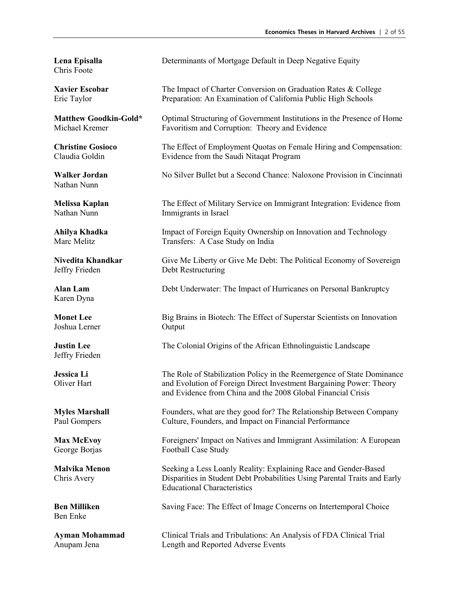Chris Foote

Nathan Nunn

Jeffry Frieden Debt Restructuring

Karen Dyna

Joshua Lerner Output

Jeffry Frieden

Ben Enke

**Lena Episalla Determinants of Mortgage Default in Deep Negative Equity** 

**Xavier Escobar** The Impact of Charter Conversion on Graduation Rates & College Eric Taylor Preparation: An Examination of California Public High Schools

**Matthew Goodkin-Gold\*** Optimal Structuring of Government Institutions in the Presence of Home<br>Michael Kremer **Eavoritism and Corruption:** Theory and Evidence Favoritism and Corruption: Theory and Evidence

**Christine Gosioco** The Effect of Employment Quotas on Female Hiring and Compensation: Claudia Goldin Evidence from the Saudi Nitaqat Program

**Walker Jordan** No Silver Bullet but a Second Chance: Naloxone Provision in Cincinnati

**Melissa Kaplan** The Effect of Military Service on Immigrant Integration: Evidence from Nathan Nunn Immigrants in Israel

**Ahilya Khadka** Impact of Foreign Equity Ownership on Innovation and Technology Marc Melitz Transfers: A Case Study on India

**Nivedita Khandkar** Give Me Liberty or Give Me Debt: The Political Economy of Sovereign

**Alan Lam** Debt Underwater: The Impact of Hurricanes on Personal Bankruptcy

**Monet Lee** Big Brains in Biotech: The Effect of Superstar Scientists on Innovation

**Justin Lee** The Colonial Origins of the African Ethnolinguistic Landscape

**Jessica Li** The Role of Stabilization Policy in the Reemergence of State Dominance Oliver Hart and Evolution of Foreign Direct Investment Bargaining Power: Theory and Evidence from China and the 2008 Global Financial Crisis

**Myles Marshall** Founders, what are they good for? The Relationship Between Company Paul Gompers Culture, Founders, and Impact on Financial Performance

**Max McEvoy Foreigners' Impact on Natives and Immigrant Assimilation: A European** George Borjas Football Case Study

**Malvika Menon** Seeking a Less Loanly Reality: Explaining Race and Gender-Based Chris Avery Disparities in Student Debt Probabilities Using Parental Traits and Early Educational Characteristics

**Ben Milliken** Saving Face: The Effect of Image Concerns on Intertemporal Choice

**Ayman Mohammad** Clinical Trials and Tribulations: An Analysis of FDA Clinical Trial Anupam Jena Length and Reported Adverse Events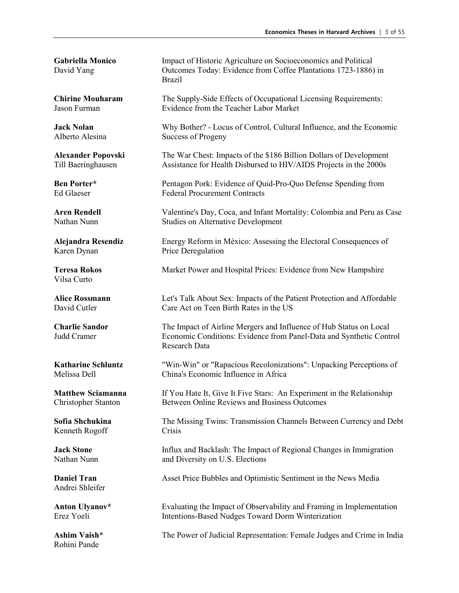Karen Dynan Price Deregulation

Vilsa Curto

Kenneth Rogoff Crisis

Andrei Shleifer

Rohini Pande

**Gabriella Monico** Impact of Historic Agriculture on Socioeconomics and Political David Yang Outcomes Today: Evidence from Coffee Plantations 1723-1886) in Brazil

**Chirine Mouharam** The Supply-Side Effects of Occupational Licensing Requirements: Jason Furman Evidence from the Teacher Labor Market

**Jack Nolan** Why Bother? - Locus of Control, Cultural Influence, and the Economic Alberto Alesina Success of Progeny

**Alexander Popovski** The War Chest: Impacts of the \$186 Billion Dollars of Development<br>Till Baeringhausen Assistance for Health Disbursed to HIV/AIDS Projects in the 2000s Assistance for Health Disbursed to HIV/AIDS Projects in the 2000s

**Ben Porter\*** Pentagon Pork: Evidence of Quid-Pro-Quo Defense Spending from Ed Glaeser Federal Procurement Contracts

**Aren Rendell** Valentine's Day, Coca, and Infant Mortality: Colombia and Peru as Case Nathan Nunn Studies on Alternative Development

**Alejandra Resendiz** Energy Reform in México: Assessing the Electoral Consequences of

**Teresa Rokos** Market Power and Hospital Prices: Evidence from New Hampshire

**Alice Rossmann** Let's Talk About Sex: Impacts of the Patient Protection and Affordable David Cutler Care Act on Teen Birth Rates in the US

**Charlie Sandor** The Impact of Airline Mergers and Influence of Hub Status on Local Judd Cramer Economic Conditions: Evidence from Panel-Data and Synthetic Control Research Data

**Katharine Schluntz** "Win-Win" or "Rapacious Recolonizations": Unpacking Perceptions of Melissa Dell China's Economic Influence in Africa

**Matthew Sciamanna** If You Hate It, Give It Five Stars: An Experiment in the Relationship Christopher Stanton Between Online Reviews and Business Outcomes

**Sofia Shchukina** The Missing Twins: Transmission Channels Between Currency and Debt

**Jack Stone** Influx and Backlash: The Impact of Regional Changes in Immigration Nathan Nunn and Diversity on U.S. Elections

**Daniel Tran** Asset Price Bubbles and Optimistic Sentiment in the News Media

**Anton Ulyanov\*** Evaluating the Impact of Observability and Framing in Implementation Erez Yoeli Intentions-Based Nudges Toward Dorm Winterization

**Ashim Vaish\*** The Power of Judicial Representation: Female Judges and Crime in India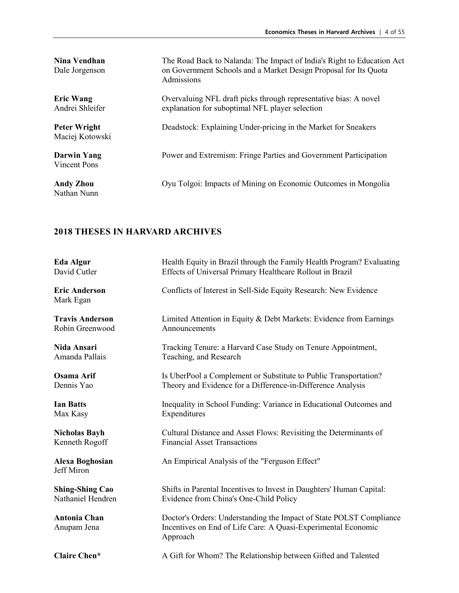| Nina Vendhan<br>Dale Jorgenson         | The Road Back to Nalanda: The Impact of India's Right to Education Act<br>on Government Schools and a Market Design Proposal for Its Quota<br>Admissions |
|----------------------------------------|----------------------------------------------------------------------------------------------------------------------------------------------------------|
| <b>Eric Wang</b><br>Andrei Shleifer    | Overvaluing NFL draft picks through representative bias: A novel<br>explanation for suboptimal NFL player selection                                      |
| <b>Peter Wright</b><br>Maciej Kotowski | Deadstock: Explaining Under-pricing in the Market for Sneakers                                                                                           |
| <b>Darwin Yang</b><br>Vincent Pons     | Power and Extremism: Fringe Parties and Government Participation                                                                                         |
| <b>Andy Zhou</b><br>Nathan Nunn        | Oyu Tolgoi: Impacts of Mining on Economic Outcomes in Mongolia                                                                                           |

| <b>Eda Algur</b>                            | Health Equity in Brazil through the Family Health Program? Evaluating                                                                            |
|---------------------------------------------|--------------------------------------------------------------------------------------------------------------------------------------------------|
| David Cutler                                | Effects of Universal Primary Healthcare Rollout in Brazil                                                                                        |
| <b>Eric Anderson</b><br>Mark Egan           | Conflicts of Interest in Sell-Side Equity Research: New Evidence                                                                                 |
| <b>Travis Anderson</b>                      | Limited Attention in Equity & Debt Markets: Evidence from Earnings                                                                               |
| Robin Greenwood                             | Announcements                                                                                                                                    |
| Nida Ansari                                 | Tracking Tenure: a Harvard Case Study on Tenure Appointment,                                                                                     |
| Amanda Pallais                              | Teaching, and Research                                                                                                                           |
| <b>Osama Arif</b>                           | Is UberPool a Complement or Substitute to Public Transportation?                                                                                 |
| Dennis Yao                                  | Theory and Evidence for a Difference-in-Difference Analysis                                                                                      |
| <b>Ian Batts</b>                            | Inequality in School Funding: Variance in Educational Outcomes and                                                                               |
| Max Kasy                                    | Expenditures                                                                                                                                     |
| <b>Nicholas Bayh</b>                        | Cultural Distance and Asset Flows: Revisiting the Determinants of                                                                                |
| Kenneth Rogoff                              | <b>Financial Asset Transactions</b>                                                                                                              |
| <b>Alexa Boghosian</b><br><b>Jeff Miron</b> | An Empirical Analysis of the "Ferguson Effect"                                                                                                   |
| <b>Shing-Shing Cao</b>                      | Shifts in Parental Incentives to Invest in Daughters' Human Capital:                                                                             |
| Nathaniel Hendren                           | Evidence from China's One-Child Policy                                                                                                           |
| <b>Antonia Chan</b><br>Anupam Jena          | Doctor's Orders: Understanding the Impact of State POLST Compliance<br>Incentives on End of Life Care: A Quasi-Experimental Economic<br>Approach |
| <b>Claire Chen*</b>                         | A Gift for Whom? The Relationship between Gifted and Talented                                                                                    |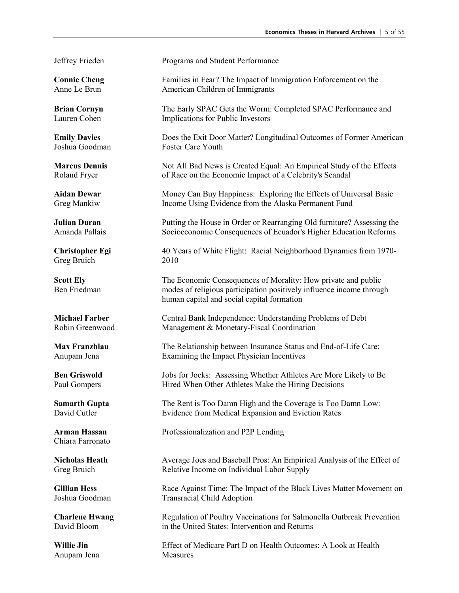Greg Bruich 2010

Chiara Farronato

Anupam Jena Measures

Jeffrey Frieden Programs and Student Performance

**Connie Cheng** Families in Fear? The Impact of Immigration Enforcement on the Anne Le Brun **American Children of Immigrants** 

**Brian Cornyn** The Early SPAC Gets the Worm: Completed SPAC Performance and Lauren Cohen Implications for Public Investors

**Emily Davies** Does the Exit Door Matter? Longitudinal Outcomes of Former American Joshua Goodman Foster Care Youth

**Marcus Dennis** Not All Bad News is Created Equal: An Empirical Study of the Effects Roland Fryer of Race on the Economic Impact of a Celebrity's Scandal

**Aidan Dewar** Money Can Buy Happiness: Exploring the Effects of Universal Basic Greg Mankiw Income Using Evidence from the Alaska Permanent Fund

**Julian Duran** Putting the House in Order or Rearranging Old furniture? Assessing the Amanda Pallais Socioeconomic Consequences of Ecuador's Higher Education Reforms

**Christopher Egi** 40 Years of White Flight: Racial Neighborhood Dynamics from 1970-

**Scott Ely** The Economic Consequences of Morality: How private and public Ben Friedman modes of religious participation positively influence income through human capital and social capital formation

**Michael Farber** Central Bank Independence: Understanding Problems of Debt Robin Greenwood Management & Monetary-Fiscal Coordination

**Max Franzblau** The Relationship between Insurance Status and End-of-Life Care: Anupam Jena Examining the Impact Physician Incentives

**Ben Griswold** Jobs for Jocks: Assessing Whether Athletes Are More Likely to Be Paul Gompers Hired When Other Athletes Make the Hiring Decisions

**Samarth Gupta** The Rent is Too Damn High and the Coverage is Too Damn Low:<br>David Cutler Evidence from Medical Expansion and Eviction Rates Evidence from Medical Expansion and Eviction Rates

**Arman Hassan** Professionalization and P2P Lending

**Nicholas Heath** Average Joes and Baseball Pros: An Empirical Analysis of the Effect of Greg Bruich Relative Income on Individual Labor Supply

**Gillian Hess** Race Against Time: The Impact of the Black Lives Matter Movement on Joshua Goodman Transracial Child Adoption

**Charlene Hwang** Regulation of Poultry Vaccinations for Salmonella Outbreak Prevention David Bloom in the United States: Intervention and Returns

**Willie Jin** Effect of Medicare Part D on Health Outcomes: A Look at Health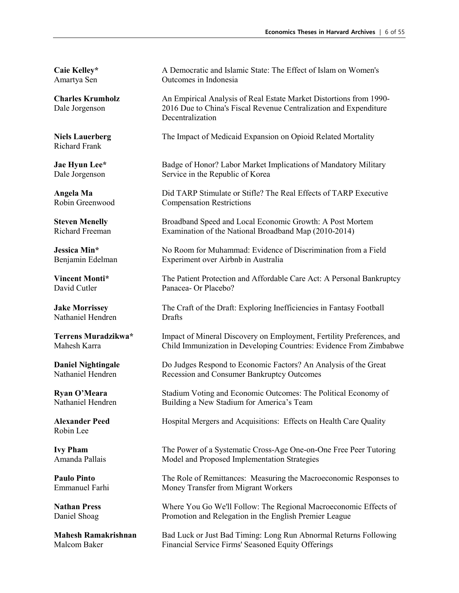Richard Frank

Nathaniel Hendren Drafts

Robin Lee

Caie Kelley\* A Democratic and Islamic State: The Effect of Islam on Women's Amartya Sen Outcomes in Indonesia

**Charles Krumholz** An Empirical Analysis of Real Estate Market Distortions from 1990- Dale Jorgenson 2016 Due to China's Fiscal Revenue Centralization and Expenditure Decentralization

**Niels Lauerberg** The Impact of Medicaid Expansion on Opioid Related Mortality

**Jae Hyun Lee\*** Badge of Honor? Labor Market Implications of Mandatory Military Dale Jorgenson Service in the Republic of Korea

**Angela Ma** Did TARP Stimulate or Stifle? The Real Effects of TARP Executive Robin Greenwood Compensation Restrictions **Compensation Restrictions** 

**Steven Menelly** Broadband Speed and Local Economic Growth: A Post Mortem Richard Freeman Examination of the National Broadband Map (2010-2014)

**Jessica Min\*** No Room for Muhammad: Evidence of Discrimination from a Field Benjamin Edelman Experiment over Airbnb in Australia

**Vincent Monti\*** The Patient Protection and Affordable Care Act: A Personal Bankruptcy David Cutler Panacea- Or Placebo?

**Jake Morrissey** The Craft of the Draft: Exploring Inefficiencies in Fantasy Football

**Terrens Muradzikwa\*** Impact of Mineral Discovery on Employment, Fertility Preferences, and Mahesh Karra Child Immunization in Developing Countries: Evidence From Zimbabwe

**Daniel Nightingale** Do Judges Respond to Economic Factors? An Analysis of the Great Nathaniel Hendren Recession and Consumer Bankruptcy Outcomes

**Ryan O'Meara** Stadium Voting and Economic Outcomes: The Political Economy of Nathaniel Hendren Building a New Stadium for America's Team

**Alexander Peed** Hospital Mergers and Acquisitions: Effects on Health Care Quality

**Ivy Pham** The Power of a Systematic Cross-Age One-on-One Free Peer Tutoring Amanda Pallais Model and Proposed Implementation Strategies

**Paulo Pinto** The Role of Remittances: Measuring the Macroeconomic Responses to Emmanuel Farhi Money Transfer from Migrant Workers

**Nathan Press** Where You Go We'll Follow: The Regional Macroeconomic Effects of Daniel Shoag Promotion and Relegation in the English Premier League

**Mahesh Ramakrishnan** Bad Luck or Just Bad Timing: Long Run Abnormal Returns Following<br>Malcom Baker Financial Service Firms' Seasoned Equity Offerings Financial Service Firms' Seasoned Equity Offerings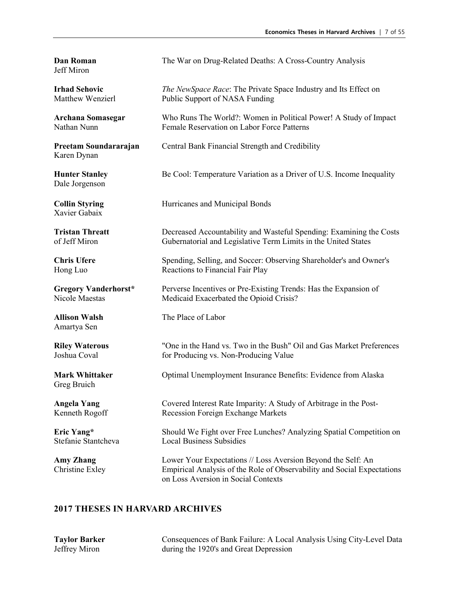Jeff Miron

Karen Dynan

Dale Jorgenson

Xavier Gabaix

Amartya Sen

Greg Bruich

**Dan Roman** The War on Drug-Related Deaths: A Cross-Country Analysis

**Irhad Sehovic** *The NewSpace Race*: The Private Space Industry and Its Effect on Matthew Wenzierl Public Support of NASA Funding

**Archana Somasegar** Who Runs The World?: Women in Political Power! A Study of Impact Nathan Nunn Female Reservation on Labor Force Patterns

**Preetam Soundararajan** Central Bank Financial Strength and Credibility

**Hunter Stanley** Be Cool: Temperature Variation as a Driver of U.S. Income Inequality

**Collin Styring The Hurricanes and Municipal Bonds** 

**Tristan Threatt** Decreased Accountability and Wasteful Spending: Examining the Costs of Jeff Miron Gubernatorial and Legislative Term Limits in the United States

**Chris Ufere** Spending, Selling, and Soccer: Observing Shareholder's and Owner's Hong Luo Reactions to Financial Fair Play

**Gregory Vanderhorst\*** Perverse Incentives or Pre-Existing Trends: Has the Expansion of Nicole Maestas Medicaid Exacerbated the Opioid Crisis?

**Allison Walsh** The Place of Labor

**Riley Waterous** "One in the Hand vs. Two in the Bush" Oil and Gas Market Preferences<br>Joshua Coval for Producing vs. Non-Producing Value for Producing vs. Non-Producing Value

**Mark Whittaker** Optimal Unemployment Insurance Benefits: Evidence from Alaska

**Angela Yang** Covered Interest Rate Imparity: A Study of Arbitrage in the Post-Kenneth Rogoff Recession Foreign Exchange Markets

**Eric Yang\*** Should We Fight over Free Lunches? Analyzing Spatial Competition on Stefanie Stantcheva Local Business Subsidies

**Amy Zhang** Lower Your Expectations // Loss Aversion Beyond the Self: An Christine Exley Empirical Analysis of the Role of Observability and Social Expectations on Loss Aversion in Social Contexts

### **2017 THESES IN HARVARD ARCHIVES**

**Taylor Barker** Consequences of Bank Failure: A Local Analysis Using City-Level Data Jeffrey Miron during the 1920's and Great Depression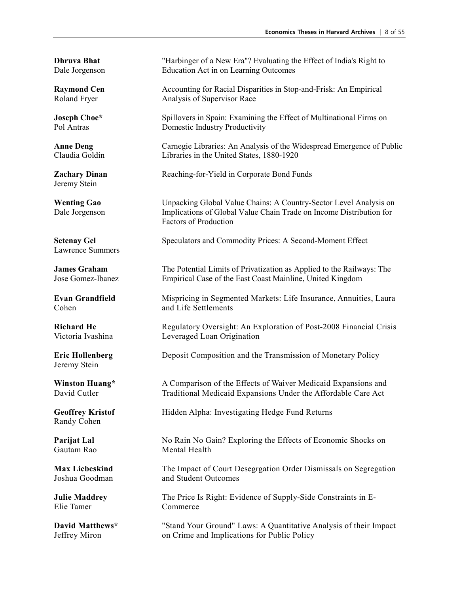Jeremy Stein

Lawrence Summers

Jeremy Stein

Randy Cohen

Elie Tamer Commerce

**Dhruva Bhat** "Harbinger of a New Era"? Evaluating the Effect of India's Right to Dale Jorgenson Education Act in on Learning Outcomes

**Raymond Cen** Accounting for Racial Disparities in Stop-and-Frisk: An Empirical Roland Fryer Analysis of Supervisor Race

**Joseph Choe\*** Spillovers in Spain: Examining the Effect of Multinational Firms on Pol Antras Domestic Industry Productivity

**Anne Deng** Carnegie Libraries: An Analysis of the Widespread Emergence of Public Claudia Goldin Libraries in the United States, 1880-1920

**Zachary Dinan** Reaching-for-Yield in Corporate Bond Funds

**Wenting Gao** Unpacking Global Value Chains: A Country-Sector Level Analysis on Dale Jorgenson Implications of Global Value Chain Trade on Income Distribution for Factors of Production

**Setenay Gel Speculators and Commodity Prices: A Second-Moment Effect** 

**James Graham** The Potential Limits of Privatization as Applied to the Railways: The Jose Gomez-Ibanez Empirical Case of the East Coast Mainline, United Kingdom

**Evan Grandfield** Mispricing in Segmented Markets: Life Insurance, Annuities, Laura Cohen and Life Settlements

**Richard He** Regulatory Oversight: An Exploration of Post-2008 Financial Crisis Victoria Ivashina Leveraged Loan Origination

**Eric Hollenberg** Deposit Composition and the Transmission of Monetary Policy

**Winston Huang\*** A Comparison of the Effects of Waiver Medicaid Expansions and David Cutler Traditional Medicaid Expansions Under the Affordable Care Act

**Geoffrey Kristof** Hidden Alpha: Investigating Hedge Fund Returns

**Parijat Lal** No Rain No Gain? Exploring the Effects of Economic Shocks on Gautam Rao Mental Health

**Max Liebeskind** The Impact of Court Desegrgation Order Dismissals on Segregation Joshua Goodman and Student Outcomes and Student Outcomes

**Julie Maddrey** The Price Is Right: Evidence of Supply-Side Constraints in E-

**David Matthews\*** "Stand Your Ground" Laws: A Quantitative Analysis of their Impact Jeffrey Miron on Crime and Implications for Public Policy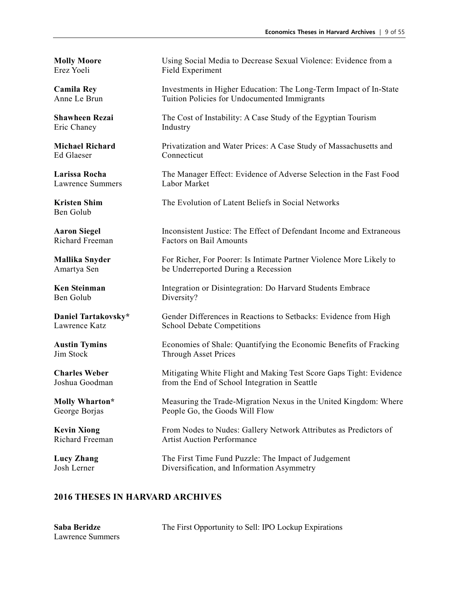Eric Chaney Industry

Ed Glaeser Connecticut

Lawrence Summers Labor Market

Ben Golub

**Molly Moore** Using Social Media to Decrease Sexual Violence: Evidence from a Erez Yoeli Field Experiment

**Camila Rey State Investments in Higher Education: The Long-Term Impact of In-State** Anne Le Brun Tuition Policies for Undocumented Immigrants

**Shawheen Rezai** The Cost of Instability: A Case Study of the Egyptian Tourism

**Michael Richard** Privatization and Water Prices: A Case Study of Massachusetts and

**Larissa Rocha** The Manager Effect: Evidence of Adverse Selection in the Fast Food

**Kristen Shim** The Evolution of Latent Beliefs in Social Networks

**Aaron Siegel** Inconsistent Justice: The Effect of Defendant Income and Extraneous Richard Freeman Factors on Bail Amounts

**Mallika Snyder** For Richer, For Poorer: Is Intimate Partner Violence More Likely to Amartya Sen be Underreported During a Recession

**Ken Steinman** Integration or Disintegration: Do Harvard Students Embrace<br>
Ren Golub **Integration** Diversity? Diversity?

**Daniel Tartakovsky\*** Gender Differences in Reactions to Setbacks: Evidence from High Lawrence Katz School Debate Competitions

**Austin Tymins** Economies of Shale: Quantifying the Economic Benefits of Fracking Jim Stock Through Asset Prices

**Charles Weber** Mitigating White Flight and Making Test Score Gaps Tight: Evidence Joshua Goodman from the End of School Integration in Seattle

**Molly Wharton\*** Measuring the Trade-Migration Nexus in the United Kingdom: Where George Borjas People Go, the Goods Will Flow

**Kevin Xiong** From Nodes to Nudes: Gallery Network Attributes as Predictors of Richard Freeman Artist Auction Performance

**Lucy Zhang** The First Time Fund Puzzle: The Impact of Judgement Josh Lerner Diversification, and Information Asymmetry

| Saba Beridze     | The First Opportunity to Sell: IPO Lockup Expirations |
|------------------|-------------------------------------------------------|
| Lawrence Summers |                                                       |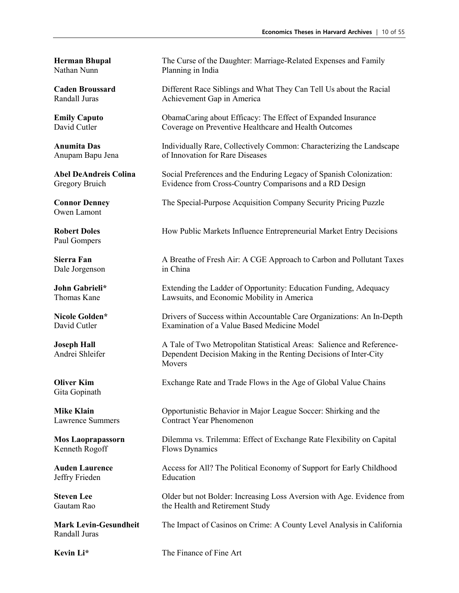Owen Lamont

Paul Gompers

Dale Jorgenson in China

Gita Gopinath

Kenneth Rogoff Flows Dynamics

Jeffry Frieden Education

Randall Juras

**Herman Bhupal** The Curse of the Daughter: Marriage-Related Expenses and Family<br>Nathan Nunn Planning in India Planning in India

**Caden Broussard** Different Race Siblings and What They Can Tell Us about the Racial Randall Juras Achievement Gap in America

**Emily Caputo ChamaCaring about Efficacy: The Effect of Expanded Insurance** David Cutler Coverage on Preventive Healthcare and Health Outcomes

**Anumita Das** Individually Rare, Collectively Common: Characterizing the Landscape Anupam Bapu Jena of Innovation for Rare Diseases

**Abel DeAndreis Colina** Social Preferences and the Enduring Legacy of Spanish Colonization: Gregory Bruich Evidence from Cross-Country Comparisons and a RD Design

**Connor Denney** The Special-Purpose Acquisition Company Security Pricing Puzzle

**Robert Doles** How Public Markets Influence Entrepreneurial Market Entry Decisions

**Sierra Fan** A Breathe of Fresh Air: A CGE Approach to Carbon and Pollutant Taxes

**John Gabrieli\*** Extending the Ladder of Opportunity: Education Funding, Adequacy<br>
Thomas Kane **Extending the Economic Mobility in America** Lawsuits, and Economic Mobility in America

**Nicole Golden\*** Drivers of Success within Accountable Care Organizations: An In-Depth David Cutler Examination of a Value Based Medicine Model

**Joseph Hall** A Tale of Two Metropolitan Statistical Areas: Salience and Reference-Andrei Shleifer Dependent Decision Making in the Renting Decisions of Inter-City Movers

**Oliver Kim** Exchange Rate and Trade Flows in the Age of Global Value Chains

**Mike Klain Opportunistic Behavior in Major League Soccer: Shirking and the** Lawrence Summers Contract Year Phenomenon

**Mos Laoprapassorn** Dilemma vs. Trilemma: Effect of Exchange Rate Flexibility on Capital

**Auden Laurence** Access for All? The Political Economy of Support for Early Childhood

**Steven Lee** Older but not Bolder: Increasing Loss Aversion with Age. Evidence from Gautam Rao<br>
Steven Rao **Steven Health and Retirement Study** the Health and Retirement Study

**Mark Levin-Gesundheit** The Impact of Casinos on Crime: A County Level Analysis in California

**Kevin Li\*** The Finance of Fine Art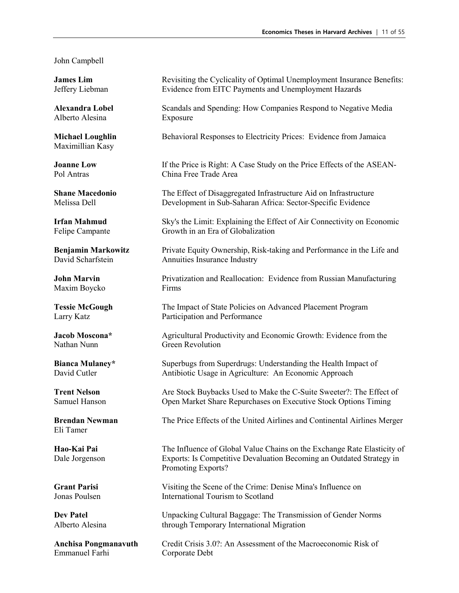#### John Campbell

Alberto Alesina Exposure

Maximillian Kasy

Maxim Boycko Firms

Eli Tamer

Emmanuel Farhi Corporate Debt

**James Lim** Revisiting the Cyclicality of Optimal Unemployment Insurance Benefits: Jeffery Liebman Evidence from EITC Payments and Unemployment Hazards

**Alexandra Lobel** Scandals and Spending: How Companies Respond to Negative Media

**Michael Loughlin** Behavioral Responses to Electricity Prices: Evidence from Jamaica

**Joanne Low** If the Price is Right: A Case Study on the Price Effects of the ASEAN-Pol Antras China Free Trade Area

**Shane Macedonio** The Effect of Disaggregated Infrastructure Aid on Infrastructure Melissa Dell Development in Sub-Saharan Africa: Sector-Specific Evidence

**Irfan Mahmud** Sky's the Limit: Explaining the Effect of Air Connectivity on Economic Felipe Campante Growth in an Era of Globalization

**Benjamin Markowitz** Private Equity Ownership, Risk-taking and Performance in the Life and David Scharfstein Annuities Insurance Industry

**John Marvin Privatization and Reallocation: Evidence from Russian Manufacturing** 

**Tessie McGough** The Impact of State Policies on Advanced Placement Program Larry Katz Participation and Performance

**Jacob Moscona\*** Agricultural Productivity and Economic Growth: Evidence from the Nathan Nunn Green Revolution

**Bianca Mulaney\*** Superbugs from Superdrugs: Understanding the Health Impact of David Cutler<br>
Antibiotic Usage in Agriculture: An Economic Approach Antibiotic Usage in Agriculture: An Economic Approach

**Trent Nelson** Are Stock Buybacks Used to Make the C-Suite Sweeter?: The Effect of Samuel Hanson Open Market Share Repurchases on Executive Stock Options Timing

**Brendan Newman** The Price Effects of the United Airlines and Continental Airlines Merger

**Hao-Kai Pai** The Influence of Global Value Chains on the Exchange Rate Elasticity of Dale Jorgenson Exports: Is Competitive Devaluation Becoming an Outdated Strategy in Promoting Exports?

**Grant Parisi** Visiting the Scene of the Crime: Denise Mina's Influence on Jonas Poulsen International Tourism to Scotland

**Dev Patel** Unpacking Cultural Baggage: The Transmission of Gender Norms Alberto Alesina through Temporary International Migration

**Anchisa Pongmanavuth** Credit Crisis 3.0?: An Assessment of the Macroeconomic Risk of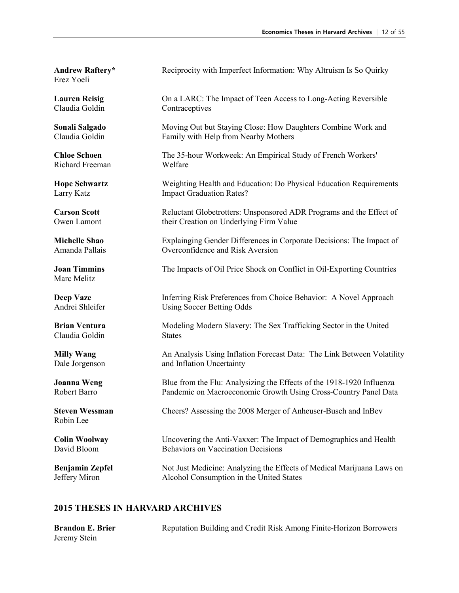Erez Yoeli

Claudia Goldin Contraceptives

Richard Freeman

Marc Melitz

Claudia Goldin States

Robin Lee

**Andrew Raftery\*** Reciprocity with Imperfect Information: Why Altruism Is So Quirky

**Lauren Reisig** On a LARC: The Impact of Teen Access to Long-Acting Reversible

**Sonali Salgado** Moving Out but Staying Close: How Daughters Combine Work and Claudia Goldin Family with Help from Nearby Mothers

**Chloe Schoen** The 35-hour Workweek: An Empirical Study of French Workers' Richard Freeman Welfare

**Hope Schwartz** Weighting Health and Education: Do Physical Education Requirements Larry Katz **Impact Graduation Rates?** 

**Carson Scott** Reluctant Globetrotters: Unsponsored ADR Programs and the Effect of Owen Lamont their Creation on Underlying Firm Value

**Michelle Shao** Explainging Gender Differences in Corporate Decisions: The Impact of Amanda Pallais Overconfidence and Risk Aversion

**Joan Timmins** The Impacts of Oil Price Shock on Conflict in Oil-Exporting Countries

**Deep Vaze** Inferring Risk Preferences from Choice Behavior: A Novel Approach Andrei Shleifer Using Soccer Betting Odds

**Brian Ventura** Modeling Modern Slavery: The Sex Trafficking Sector in the United

**Milly Wang** An Analysis Using Inflation Forecast Data: The Link Between Volatility Dale Jorgenson and Inflation Uncertainty

**Joanna Weng** Blue from the Flu: Analysizing the Effects of the 1918-1920 Influenza Robert Barro Pandemic on Macroeconomic Growth Using Cross-Country Panel Data

**Steven Wessman** Cheers? Assessing the 2008 Merger of Anheuser-Busch and InBev

**Colin Woolway** Uncovering the Anti-Vaxxer: The Impact of Demographics and Health David Bloom Behaviors on Vaccination Decisions

**Benjamin Zepfel** Not Just Medicine: Analyzing the Effects of Medical Marijuana Laws on Jeffery Miron Alcohol Consumption in the United States

| <b>Brandon E. Brier</b> | Reputation Building and Credit Risk Among Finite-Horizon Borrowers |
|-------------------------|--------------------------------------------------------------------|
| Jeremy Stein            |                                                                    |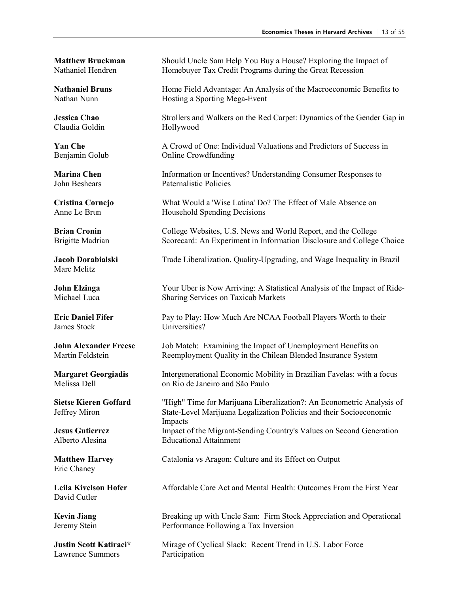Claudia Goldin Hollywood

Marc Melitz

James Stock Universities?

Eric Chaney

David Cutler

Lawrence Summers Participation

**Matthew Bruckman** Should Uncle Sam Help You Buy a House? Exploring the Impact of Nathaniel Hendren Homebuyer Tax Credit Programs during the Great Recession

**Nathaniel Bruns Home Field Advantage: An Analysis of the Macroeconomic Benefits to** Nathan Nunn Hosting a Sporting Mega-Event

**Jessica Chao** Strollers and Walkers on the Red Carpet: Dynamics of the Gender Gap in

**Yan Che** A Crowd of One: Individual Valuations and Predictors of Success in Benjamin Golub **Online Crowdfunding** 

**Marina Chen** Information or Incentives? Understanding Consumer Responses to John Beshears Paternalistic Policies

**Cristina Cornejo** What Would a 'Wise Latina' Do? The Effect of Male Absence on Anne Le Brun Household Spending Decisions

**Brian Cronin** College Websites, U.S. News and World Report, and the College Brigitte Madrian Scorecard: An Experiment in Information Disclosure and College Choice

**Jacob Dorabialski** Trade Liberalization, Quality-Upgrading, and Wage Inequality in Brazil

**John Elzinga** Your Uber is Now Arriving: A Statistical Analysis of the Impact of Ride-<br>Michael Luca Sharing Services on Taxicab Markets Sharing Services on Taxicab Markets

**Eric Daniel Fifer** Pay to Play: How Much Are NCAA Football Players Worth to their

**John Alexander Freese** Job Match: Examining the Impact of Unemployment Benefits on Martin Feldstein Reemployment Quality in the Chilean Blended Insurance System

**Margaret Georgiadis** Intergenerational Economic Mobility in Brazilian Favelas: with a focus<br>
Melissa Dell<br>
Melissa Dell on Rio de Janeiro and São Paulo

**Sietse Kieren Goffard** "High" Time for Marijuana Liberalization?: An Econometric Analysis of Jeffrey Miron State-Level Marijuana Legalization Policies and their Socioeconomic Impacts **Jesus Gutierrez** Impact of the Migrant-Sending Country's Values on Second Generation Alberto Alesina Educational Attainment

**Matthew Harvey** Catalonia vs Aragon: Culture and its Effect on Output

**Leila Kivelson Hofer** Affordable Care Act and Mental Health: Outcomes From the First Year

**Kevin Jiang** Breaking up with Uncle Sam: Firm Stock Appreciation and Operational Jeremy Stein Performance Following a Tax Inversion

**Justin Scott Katiraei\*** Mirage of Cyclical Slack: Recent Trend in U.S. Labor Force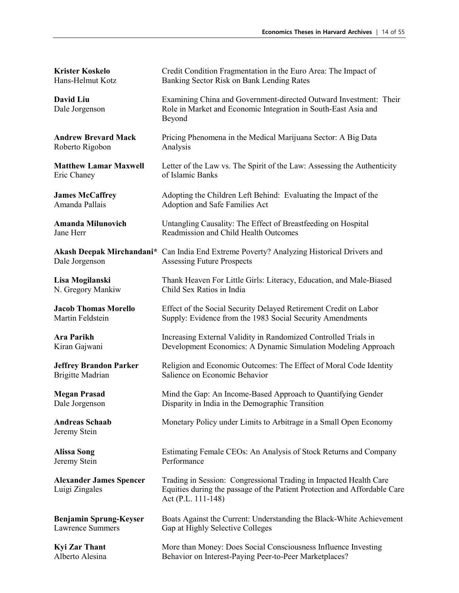| <b>Krister Koskelo</b>                           | Credit Condition Fragmentation in the Euro Area: The Impact of                                                                                                       |
|--------------------------------------------------|----------------------------------------------------------------------------------------------------------------------------------------------------------------------|
| Hans-Helmut Kotz                                 | Banking Sector Risk on Bank Lending Rates                                                                                                                            |
| David Liu<br>Dale Jorgenson                      | Examining China and Government-directed Outward Investment: Their<br>Role in Market and Economic Integration in South-East Asia and<br>Beyond                        |
| <b>Andrew Brevard Mack</b>                       | Pricing Phenomena in the Medical Marijuana Sector: A Big Data                                                                                                        |
| Roberto Rigobon                                  | Analysis                                                                                                                                                             |
| <b>Matthew Lamar Maxwell</b>                     | Letter of the Law vs. The Spirit of the Law: Assessing the Authenticity                                                                                              |
| Eric Chaney                                      | of Islamic Banks                                                                                                                                                     |
| <b>James McCaffrey</b>                           | Adopting the Children Left Behind: Evaluating the Impact of the                                                                                                      |
| Amanda Pallais                                   | Adoption and Safe Families Act                                                                                                                                       |
| <b>Amanda Milunovich</b>                         | Untangling Causality: The Effect of Breastfeeding on Hospital                                                                                                        |
| Jane Herr                                        | Readmission and Child Health Outcomes                                                                                                                                |
| Dale Jorgenson                                   | Akash Deepak Mirchandani* Can India End Extreme Poverty? Analyzing Historical Drivers and<br><b>Assessing Future Prospects</b>                                       |
| Lisa Mogilanski                                  | Thank Heaven For Little Girls: Literacy, Education, and Male-Biased                                                                                                  |
| N. Gregory Mankiw                                | Child Sex Ratios in India                                                                                                                                            |
| <b>Jacob Thomas Morello</b>                      | Effect of the Social Security Delayed Retirement Credit on Labor                                                                                                     |
| Martin Feldstein                                 | Supply: Evidence from the 1983 Social Security Amendments                                                                                                            |
| Ara Parikh                                       | Increasing External Validity in Randomized Controlled Trials in                                                                                                      |
| Kiran Gajwani                                    | Development Economics: A Dynamic Simulation Modeling Approach                                                                                                        |
| <b>Jeffrey Brandon Parker</b>                    | Religion and Economic Outcomes: The Effect of Moral Code Identity                                                                                                    |
| <b>Brigitte Madrian</b>                          | Salience on Economic Behavior                                                                                                                                        |
| <b>Megan Prasad</b>                              | Mind the Gap: An Income-Based Approach to Quantifying Gender                                                                                                         |
| Dale Jorgenson                                   | Disparity in India in the Demographic Transition                                                                                                                     |
| <b>Andreas Schaab</b><br>Jeremy Stein            | Monetary Policy under Limits to Arbitrage in a Small Open Economy                                                                                                    |
| <b>Alissa Song</b>                               | Estimating Female CEOs: An Analysis of Stock Returns and Company                                                                                                     |
| Jeremy Stein                                     | Performance                                                                                                                                                          |
| <b>Alexander James Spencer</b><br>Luigi Zingales | Trading in Session: Congressional Trading in Impacted Health Care<br>Equities during the passage of the Patient Protection and Affordable Care<br>Act (P.L. 111-148) |
| <b>Benjamin Sprung-Keyser</b>                    | Boats Against the Current: Understanding the Black-White Achievement                                                                                                 |
| <b>Lawrence Summers</b>                          | Gap at Highly Selective Colleges                                                                                                                                     |
| <b>Kyi Zar Thant</b>                             | More than Money: Does Social Consciousness Influence Investing                                                                                                       |
| Alberto Alesina                                  | Behavior on Interest-Paying Peer-to-Peer Marketplaces?                                                                                                               |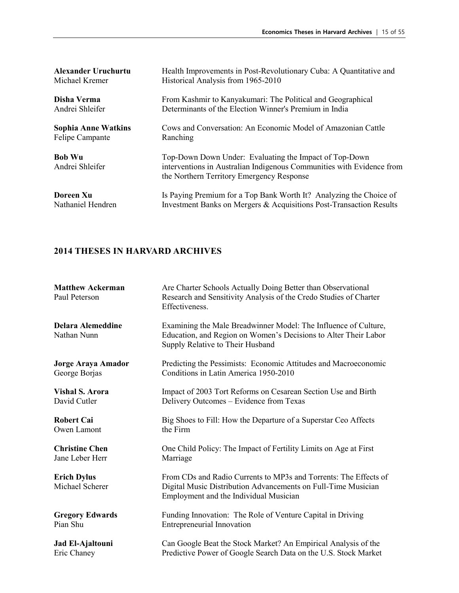| <b>Alexander Uruchurtu</b>       | Health Improvements in Post-Revolutionary Cuba: A Quantitative and                                                                                                           |
|----------------------------------|------------------------------------------------------------------------------------------------------------------------------------------------------------------------------|
| Michael Kremer                   | Historical Analysis from 1965-2010                                                                                                                                           |
| Disha Verma                      | From Kashmir to Kanyakumari: The Political and Geographical                                                                                                                  |
| Andrei Shleifer                  | Determinants of the Election Winner's Premium in India                                                                                                                       |
| <b>Sophia Anne Watkins</b>       | Cows and Conversation: An Economic Model of Amazonian Cattle                                                                                                                 |
| Felipe Campante                  | Ranching                                                                                                                                                                     |
| <b>Bob Wu</b><br>Andrei Shleifer | Top-Down Down Under: Evaluating the Impact of Top-Down<br>interventions in Australian Indigenous Communities with Evidence from<br>the Northern Territory Emergency Response |
| Doreen Xu                        | Is Paying Premium for a Top Bank Worth It? Analyzing the Choice of                                                                                                           |
| Nathaniel Hendren                | Investment Banks on Mergers & Acquisitions Post-Transaction Results                                                                                                          |

| <b>Matthew Ackerman</b><br>Paul Peterson | Are Charter Schools Actually Doing Better than Observational<br>Research and Sensitivity Analysis of the Credo Studies of Charter<br>Effectiveness.                         |
|------------------------------------------|-----------------------------------------------------------------------------------------------------------------------------------------------------------------------------|
| <b>Delara Alemeddine</b><br>Nathan Nunn  | Examining the Male Breadwinner Model: The Influence of Culture,<br>Education, and Region on Women's Decisions to Alter Their Labor<br>Supply Relative to Their Husband      |
| Jorge Araya Amador                       | Predicting the Pessimists: Economic Attitudes and Macroeconomic                                                                                                             |
| George Borjas                            | Conditions in Latin America 1950-2010                                                                                                                                       |
| <b>Vishal S. Arora</b>                   | Impact of 2003 Tort Reforms on Cesarean Section Use and Birth                                                                                                               |
| David Cutler                             | Delivery Outcomes - Evidence from Texas                                                                                                                                     |
| <b>Robert Cai</b>                        | Big Shoes to Fill: How the Departure of a Superstar Ceo Affects                                                                                                             |
| Owen Lamont                              | the Firm                                                                                                                                                                    |
| <b>Christine Chen</b>                    | One Child Policy: The Impact of Fertility Limits on Age at First                                                                                                            |
| Jane Leber Herr                          | Marriage                                                                                                                                                                    |
| <b>Erich Dylus</b><br>Michael Scherer    | From CDs and Radio Currents to MP3s and Torrents: The Effects of<br>Digital Music Distribution Advancements on Full-Time Musician<br>Employment and the Individual Musician |
| <b>Gregory Edwards</b>                   | Funding Innovation: The Role of Venture Capital in Driving                                                                                                                  |
| Pian Shu                                 | <b>Entrepreneurial Innovation</b>                                                                                                                                           |
| Jad El-Ajaltouni                         | Can Google Beat the Stock Market? An Empirical Analysis of the                                                                                                              |
| Eric Chaney                              | Predictive Power of Google Search Data on the U.S. Stock Market                                                                                                             |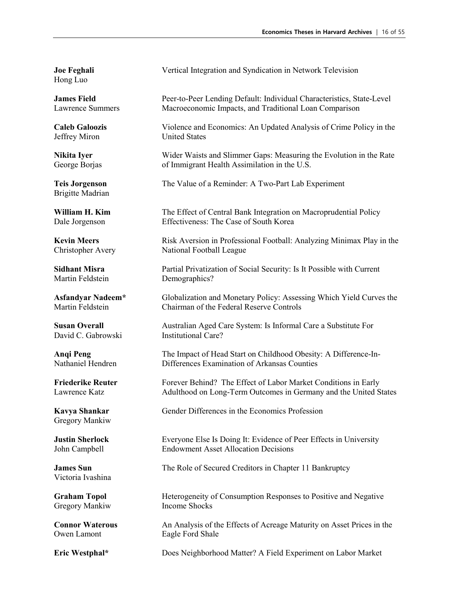Hong Luo

Jeffrey Miron United States

Brigitte Madrian

Martin Feldstein Demographics?

David C. Gabrowski Institutional Care?

Gregory Mankiw

Victoria Ivashina

Gregory Mankiw

Owen Lamont Eagle Ford Shale

**Joe Feghali** Vertical Integration and Syndication in Network Television

**James Field** Peer-to-Peer Lending Default: Individual Characteristics, State-Level Lawrence Summers Macroeconomic Impacts, and Traditional Loan Comparison

**Caleb Galoozis** Violence and Economics: An Updated Analysis of Crime Policy in the

**Nikita Iyer** Wider Waists and Slimmer Gaps: Measuring the Evolution in the Rate George Borjas of Immigrant Health Assimilation in the U.S.

**Teis Jorgenson** The Value of a Reminder: A Two-Part Lab Experiment

**William H. Kim** The Effect of Central Bank Integration on Macroprudential Policy Dale Jorgenson Effectiveness: The Case of South Korea

**Kevin Meers** Risk Aversion in Professional Football: Analyzing Minimax Play in the Christopher Avery National Football League

**Sidhant Misra** Partial Privatization of Social Security: Is It Possible with Current

**Asfandyar Nadeem\*** Globalization and Monetary Policy: Assessing Which Yield Curves the Martin Feldstein Chairman of the Federal Reserve Controls

**Susan Overall Australian Aged Care System: Is Informal Care a Substitute For** 

**Anqi Peng** The Impact of Head Start on Childhood Obesity: A Difference-In-Nathaniel Hendren Differences Examination of Arkansas Counties

**Friederike Reuter** Forever Behind? The Effect of Labor Market Conditions in Early Lawrence Katz Adulthood on Long-Term Outcomes in Germany and the United States

**Kavya Shankar** Gender Differences in the Economics Profession

**Justin Sherlock** Everyone Else Is Doing It: Evidence of Peer Effects in University John Campbell Endowment Asset Allocation Decisions

**James Sun** The Role of Secured Creditors in Chapter 11 Bankruptcy

**Graham Topol Heterogeneity of Consumption Responses to Positive and Negative Gregory Mankiw Heterogeneity of Consumption Responses to Positive and Negative** 

**Connor Waterous** An Analysis of the Effects of Acreage Maturity on Asset Prices in the

**Eric Westphal\*** Does Neighborhood Matter? A Field Experiment on Labor Market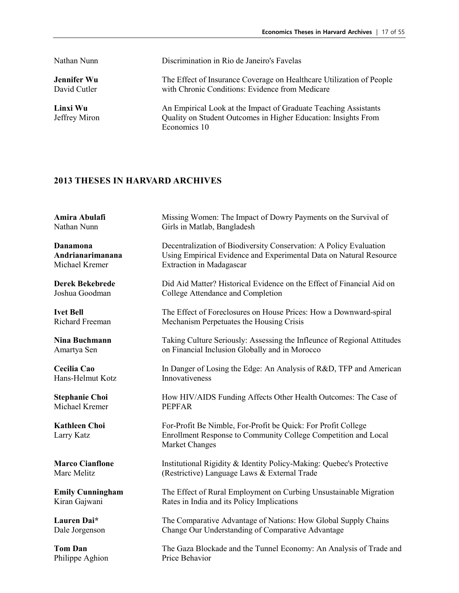| Nathan Nunn                        | Discrimination in Rio de Janeiro's Favelas                                                                                                        |
|------------------------------------|---------------------------------------------------------------------------------------------------------------------------------------------------|
| <b>Jennifer Wu</b><br>David Cutler | The Effect of Insurance Coverage on Healthcare Utilization of People<br>with Chronic Conditions: Evidence from Medicare                           |
| Linxi Wu<br>Jeffrey Miron          | An Empirical Look at the Impact of Graduate Teaching Assistants<br>Quality on Student Outcomes in Higher Education: Insights From<br>Economics 10 |

| Amira Abulafi                      | Missing Women: The Impact of Dowry Payments on the Survival of                                                                                    |
|------------------------------------|---------------------------------------------------------------------------------------------------------------------------------------------------|
| Nathan Nunn                        | Girls in Matlab, Bangladesh                                                                                                                       |
| Danamona                           | Decentralization of Biodiversity Conservation: A Policy Evaluation                                                                                |
| Andrianarimanana                   | Using Empirical Evidence and Experimental Data on Natural Resource                                                                                |
| Michael Kremer                     | Extraction in Madagascar                                                                                                                          |
| <b>Derek Bekebrede</b>             | Did Aid Matter? Historical Evidence on the Effect of Financial Aid on                                                                             |
| Joshua Goodman                     | College Attendance and Completion                                                                                                                 |
| <b>Ivet Bell</b>                   | The Effect of Foreclosures on House Prices: How a Downward-spiral                                                                                 |
| Richard Freeman                    | Mechanism Perpetuates the Housing Crisis                                                                                                          |
| Nina Buchmann                      | Taking Culture Seriously: Assessing the Infleunce of Regional Attitudes                                                                           |
| Amartya Sen                        | on Financial Inclusion Globally and in Morocco                                                                                                    |
| Cecilia Cao                        | In Danger of Losing the Edge: An Analysis of R&D, TFP and American                                                                                |
| Hans-Helmut Kotz                   | Innovativeness                                                                                                                                    |
| <b>Stephanie Choi</b>              | How HIV/AIDS Funding Affects Other Health Outcomes: The Case of                                                                                   |
| Michael Kremer                     | <b>PEPFAR</b>                                                                                                                                     |
| <b>Kathleen Choi</b><br>Larry Katz | For-Profit Be Nimble, For-Profit be Quick: For Profit College<br>Enrollment Response to Community College Competition and Local<br>Market Changes |
| <b>Marco Cianflone</b>             | Institutional Rigidity & Identity Policy-Making: Quebec's Protective                                                                              |
| Marc Melitz                        | (Restrictive) Language Laws & External Trade                                                                                                      |
| <b>Emily Cunningham</b>            | The Effect of Rural Employment on Curbing Unsustainable Migration                                                                                 |
| Kiran Gajwani                      | Rates in India and its Policy Implications                                                                                                        |
| Lauren Dai*                        | The Comparative Advantage of Nations: How Global Supply Chains                                                                                    |
| Dale Jorgenson                     | Change Our Understanding of Comparative Advantage                                                                                                 |
| <b>Tom Dan</b>                     | The Gaza Blockade and the Tunnel Economy: An Analysis of Trade and                                                                                |
| Philippe Aghion                    | Price Behavior                                                                                                                                    |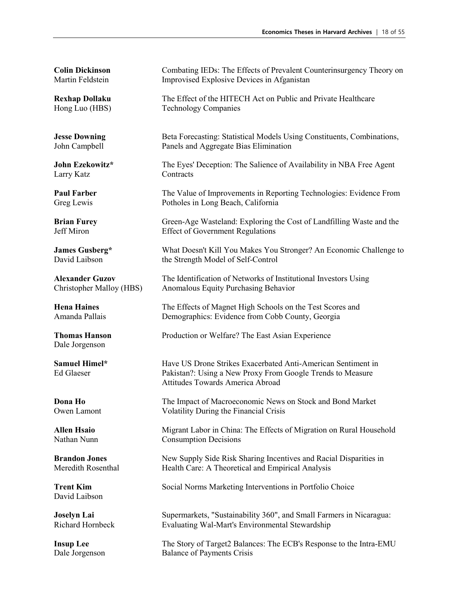Larry Katz Contracts

Dale Jorgenson

David Laibson

**Colin Dickinson** Combating IEDs: The Effects of Prevalent Counterinsurgency Theory on Martin Feldstein **Improvised Explosive Devices** in Afganistan

**Rexhap Dollaku** The Effect of the HITECH Act on Public and Private Healthcare Hong Luo (HBS) Technology Companies

**Jesse Downing** Beta Forecasting: Statistical Models Using Constituents, Combinations, John Campbell Panels and Aggregate Bias Elimination

**John Ezekowitz\*** The Eyes' Deception: The Salience of Availability in NBA Free Agent

**Paul Farber** The Value of Improvements in Reporting Technologies: Evidence From Greg Lewis Potholes in Long Beach, California

**Brian Furey** Green-Age Wasteland: Exploring the Cost of Landfilling Waste and the Jeff Miron Effect of Government Regulations Effect of Government Regulations

**James Gusberg\*** What Doesn't Kill You Makes You Stronger? An Economic Challenge to David Laibson the Strength Model of Self-Control

**Alexander Guzov** The Identification of Networks of Institutional Investors Using Christopher Malloy (HBS) Anomalous Equity Purchasing Behavior

**Hena Haines** The Effects of Magnet High Schools on the Test Scores and Amanda Pallais Demographics: Evidence from Cobb County, Georgia

**Thomas Hanson** Production or Welfare? The East Asian Experience

**Samuel Himel\*** Have US Drone Strikes Exacerbated Anti-American Sentiment in<br>
Fel Glaeser Pakistan<sup>2</sup>: Using a New Proxy From Google Trends to Measure Pakistan?: Using a New Proxy From Google Trends to Measure Attitudes Towards America Abroad

**Dona Ho** The Impact of Macroeconomic News on Stock and Bond Market Owen Lamont Volatility During the Financial Crisis

**Allen Hsaio** Migrant Labor in China: The Effects of Migration on Rural Household Nathan Nunn Consumption Decisions

**Brandon Jones** New Supply Side Risk Sharing Incentives and Racial Disparities in Meredith Rosenthal Health Care: A Theoretical and Empirical Analysis

**Trent Kim** Social Norms Marketing Interventions in Portfolio Choice

**Joselyn Lai** Supermarkets, "Sustainability 360", and Small Farmers in Nicaragua: Richard Hornbeck Evaluating Wal-Mart's Environmental Stewardship

**Insup Lee** The Story of Target2 Balances: The ECB's Response to the Intra-EMU Dale Jorgenson Balance of Payments Crisis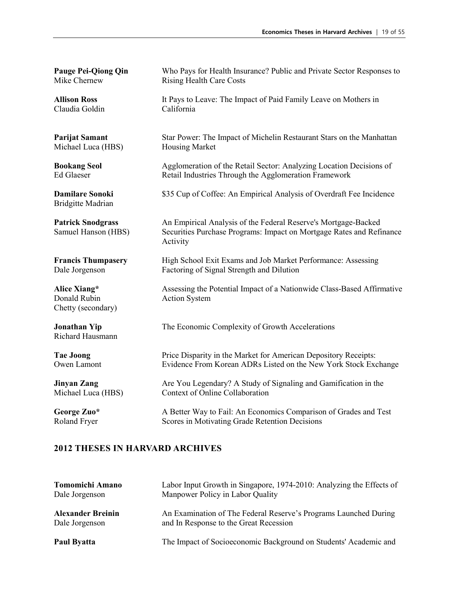Claudia Goldin California

Michael Luca (HBS) Housing Market

Bridgitte Madrian

Donald Rubin Action System Chetty (secondary)

Richard Hausmann

**Pauge Pei-Qiong Qin** Who Pays for Health Insurance? Public and Private Sector Responses to Mike Chernew Rising Health Care Costs

**Allison Ross** It Pays to Leave: The Impact of Paid Family Leave on Mothers in

**Parijat Samant** Star Power: The Impact of Michelin Restaurant Stars on the Manhattan

**Bookang Seol** Agglomeration of the Retail Sector: Analyzing Location Decisions of Ed Glaeser Retail Industries Through the Agglomeration Framework

**Damilare Sonoki** \$35 Cup of Coffee: An Empirical Analysis of Overdraft Fee Incidence

Patrick Snodgrass **An Empirical Analysis of the Federal Reserve's Mortgage-Backed** Samuel Hanson (HBS) Securities Purchase Programs: Impact on Mortgage Rates and Refinance Activity

**Francis Thumpasery** High School Exit Exams and Job Market Performance: Assessing Dale Jorgenson Factoring of Signal Strength and Dilution

**Alice Xiang\*** Assessing the Potential Impact of a Nationwide Class-Based Affirmative

**Jonathan Yip** The Economic Complexity of Growth Accelerations

**Tae Joong** Price Disparity in the Market for American Depository Receipts: Owen Lamont Evidence From Korean ADRs Listed on the New York Stock Exchange

**Jinyan Zang** Are You Legendary? A Study of Signaling and Gamification in the Michael Luca (HBS) Context of Online Collaboration

George Zuo\* A Better Way to Fail: An Economics Comparison of Grades and Test Roland Fryer Scores in Motivating Grade Retention Decisions

| <b>Tomomichi Amano</b>                     | Labor Input Growth in Singapore, 1974-2010: Analyzing the Effects of                                       |
|--------------------------------------------|------------------------------------------------------------------------------------------------------------|
| Dale Jorgenson                             | Manpower Policy in Labor Quality                                                                           |
| <b>Alexander Breinin</b><br>Dale Jorgenson | An Examination of The Federal Reserve's Programs Launched During<br>and In Response to the Great Recession |
| Paul Byatta                                | The Impact of Socioeconomic Background on Students' Academic and                                           |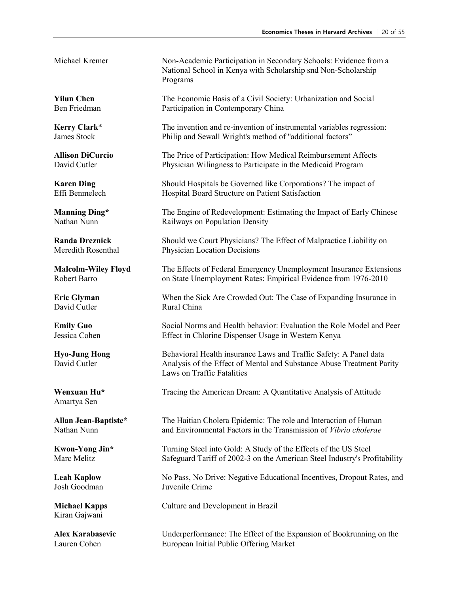David Cutler Rural China

Amartya Sen

Kiran Gajwani

Michael Kremer Non-Academic Participation in Secondary Schools: Evidence from a National School in Kenya with Scholarship snd Non-Scholarship Programs

**Yilun Chen** The Economic Basis of a Civil Society: Urbanization and Social Ben Friedman Participation in Contemporary China

**Kerry Clark**\* The invention and re-invention of instrumental variables regression:<br>James Stock Philip and Sewall Wright's method of "additional factors" Philip and Sewall Wright's method of "additional factors"

**Allison DiCurcio** The Price of Participation: How Medical Reimbursement Affects Physician Wilingness to Participate in the Medicaid Program

**Karen Ding** Should Hospitals be Governed like Corporations? The impact of Effi Benmelech Hospital Board Structure on Patient Satisfaction

**Manning Ding\*** The Engine of Redevelopment: Estimating the Impact of Early Chinese Nathan Nunn Railways on Population Density

**Randa Dreznick** Should we Court Physicians? The Effect of Malpractice Liability on Meredith Rosenthal Physician Location Decisions

**Malcolm-Wiley Floyd** The Effects of Federal Emergency Unemployment Insurance Extensions Robert Barro **on State Unemployment Rates: Empirical Evidence from 1976-2010** 

**Eric Glyman** When the Sick Are Crowded Out: The Case of Expanding Insurance in

**Emily Guo** Social Norms and Health behavior: Evaluation the Role Model and Peer Jessica Cohen Effect in Chlorine Dispenser Usage in Western Kenya

**Hyo-Jung Hong** Behavioral Health insurance Laws and Traffic Safety: A Panel data<br>David Cutler **Allection** Analysis of the Effect of Mental and Substance Abuse Treatment Pa Analysis of the Effect of Mental and Substance Abuse Treatment Parity Laws on Traffic Fatalities

**Wenxuan Hu<sup>\*</sup>** Tracing the American Dream: A Quantitative Analysis of Attitude

**Allan Jean-Baptiste\*** The Haitian Cholera Epidemic: The role and Interaction of Human Nathan Nunn and Environmental Factors in the Transmission of *Vibrio cholerae*

**Kwon-Yong Jin\*** Turning Steel into Gold: A Study of the Effects of the US Steel Marc Melitz Safeguard Tariff of 2002-3 on the American Steel Industry's Profitability

**Leah Kaplow** No Pass, No Drive: Negative Educational Incentives, Dropout Rates, and Josh Goodman Juvenile Crime

**Michael Kapps** Culture and Development in Brazil

**Alex Karabasevic** Underperformance: The Effect of the Expansion of Bookrunning on the Lauren Cohen European Initial Public Offering Market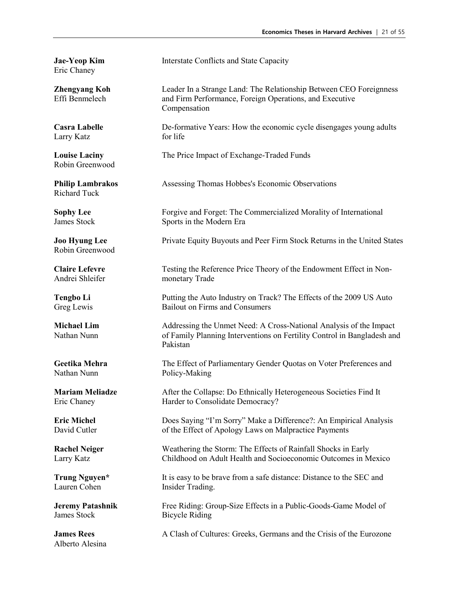Eric Chaney

Larry Katz for life

Robin Greenwood

Richard Tuck

Robin Greenwood

Lauren Cohen Insider Trading.

James Stock Bicycle Riding

Alberto Alesina

**Jae-Yeop Kim** Interstate Conflicts and State Capacity

**Zhengyang Koh Leader In a Strange Land: The Relationship Between CEO Foreignness** Effi Benmelech and Firm Performance, Foreign Operations, and Executive Compensation

**Casra Labelle** De-formative Years: How the economic cycle disengages young adults

**Louise Laciny** The Price Impact of Exchange-Traded Funds

**Philip Lambrakos Assessing Thomas Hobbes's Economic Observations** 

**Sophy Lee** Forgive and Forget: The Commercialized Morality of International James Stock Sports in the Modern Era

**Joo Hyung Lee** Private Equity Buyouts and Peer Firm Stock Returns in the United States

**Claire Lefevre** Testing the Reference Price Theory of the Endowment Effect in Non-Andrei Shleifer monetary Trade

**Tengbo Li Putting the Auto Industry on Track? The Effects of the 2009 US Auto** Greg Lewis Bailout on Firms and Consumers

**Michael Lim** Addressing the Unmet Need: A Cross-National Analysis of the Impact Nathan Nunn of Family Planning Interventions on Fertility Control in Bangladesh and Pakistan

**Geetika Mehra The Effect of Parliamentary Gender Quotas on Voter Preferences and Nathan Nunn** Policy-Making

**Mariam Meliadze** After the Collapse: Do Ethnically Heterogeneous Societies Find It Eric Chaney Harder to Consolidate Democracy?

**Eric Michel** Does Saying "I'm Sorry" Make a Difference?: An Empirical Analysis David Cutler of the Effect of Apology Laws on Malpractice Payments

**Rachel Neiger** Weathering the Storm: The Effects of Rainfall Shocks in Early Larry Katz Childhood on Adult Health and Socioeconomic Outcomes in Mexico

**Trung Nguyen\*** It is easy to be brave from a safe distance: Distance to the SEC and

**Jeremy Patashnik** Free Riding: Group-Size Effects in a Public-Goods-Game Model of

**James Rees** A Clash of Cultures: Greeks, Germans and the Crisis of the Eurozone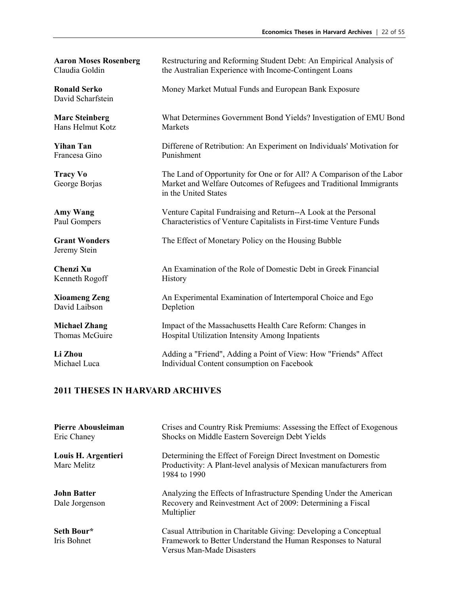David Scharfstein

Hans Helmut Kotz Markets

Francesa Gino Punishment

Jeremy Stein

Kenneth Rogoff History

David Laibson Depletion

**Aaron Moses Rosenberg** Restructuring and Reforming Student Debt: An Empirical Analysis of Claudia Goldin the Australian Experience with Income-Contingent Loans the Australian Experience with Income-Contingent Loans

**Ronald Serko** Money Market Mutual Funds and European Bank Exposure

**Marc Steinberg** What Determines Government Bond Yields? Investigation of EMU Bond

**Yihan Tan Difference of Retribution: An Experiment on Individuals' Motivation for** 

**Tracy Vo** The Land of Opportunity for One or for All? A Comparison of the Labor George Borjas Market and Welfare Outcomes of Refugees and Traditional Immigrants in the United States

**Amy Wang** Venture Capital Fundraising and Return--A Look at the Personal Paul Gompers Characteristics of Venture Capitalists in First-time Venture Funds

**Grant Wonders** The Effect of Monetary Policy on the Housing Bubble

**Chenzi Xu An Examination of the Role of Domestic Debt in Greek Financial** 

**Xioameng Zeng** An Experimental Examination of Intertemporal Choice and Ego

**Michael Zhang Impact of the Massachusetts Health Care Reform: Changes in** Thomas McGuire **Hospital Utilization Intensity Among Inpatients** 

Li Zhou **Adding a "Friend", Adding a Point of View: How "Friends" Affect** Michael Luca Individual Content consumption on Facebook

| Pierre Abousleiman<br>Eric Chaney    | Crises and Country Risk Premiums: Assessing the Effect of Exogenous<br>Shocks on Middle Eastern Sovereign Debt Yields                                          |
|--------------------------------------|----------------------------------------------------------------------------------------------------------------------------------------------------------------|
| Louis H. Argentieri<br>Marc Melitz   | Determining the Effect of Foreign Direct Investment on Domestic<br>Productivity: A Plant-level analysis of Mexican manufacturers from<br>1984 to 1990          |
| <b>John Batter</b><br>Dale Jorgenson | Analyzing the Effects of Infrastructure Spending Under the American<br>Recovery and Reinvestment Act of 2009: Determining a Fiscal<br>Multiplier               |
| Seth Bour*<br>Iris Bohnet            | Casual Attribution in Charitable Giving: Developing a Conceptual<br>Framework to Better Understand the Human Responses to Natural<br>Versus Man-Made Disasters |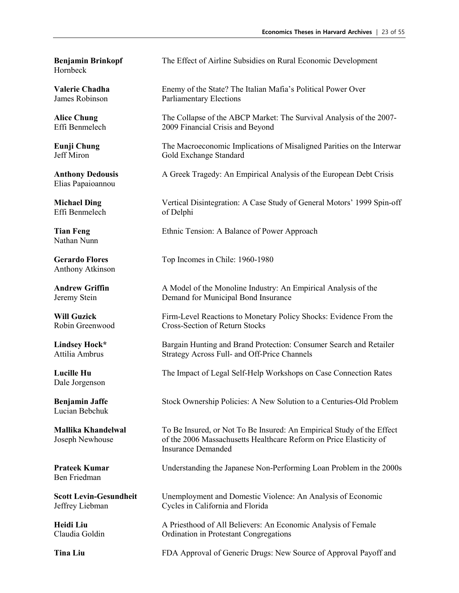Hornbeck

Elias Papaioannou

Effi Benmelech of Delphi

Nathan Nunn

Anthony Atkinson

Dale Jorgenson

Lucian Bebchuk

Ben Friedman

**Benjamin Brinkopf** The Effect of Airline Subsidies on Rural Economic Development

**Valerie Chadha** Enemy of the State? The Italian Mafia's Political Power Over James Robinson Parliamentary Elections

Alice Chung The Collapse of the ABCP Market: The Survival Analysis of the 2007-Effi Benmelech 2009 Financial Crisis and Beyond

**Eunji Chung** The Macroeconomic Implications of Misaligned Parities on the Interwar Jeff Miron Gold Exchange Standard

**Anthony Dedousis** A Greek Tragedy: An Empirical Analysis of the European Debt Crisis

**Michael Ding** Vertical Disintegration: A Case Study of General Motors' 1999 Spin-off

**Tian Feng** Ethnic Tension: A Balance of Power Approach

Gerardo Flores Top Incomes in Chile: 1960-1980

Andrew Griffin **A** Model of the Monoline Industry: An Empirical Analysis of the Jeremy Stein Demand for Municipal Bond Insurance

**Will Guzick** Firm-Level Reactions to Monetary Policy Shocks: Evidence From the Robin Greenwood Cross-Section of Return Stocks

**Lindsey Hock\*** Bargain Hunting and Brand Protection: Consumer Search and Retailer Attilia Ambrus Strategy Across Full- and Off-Price Channels

**Lucille Hu** The Impact of Legal Self-Help Workshops on Case Connection Rates

**Benjamin Jaffe** Stock Ownership Policies: A New Solution to a Centuries-Old Problem

**Mallika Khandelwal** To Be Insured, or Not To Be Insured: An Empirical Study of the Effect Joseph Newhouse of the 2006 Massachusetts Healthcare Reform on Price Elasticity of Insurance Demanded

**Prateek Kumar** Understanding the Japanese Non-Performing Loan Problem in the 2000s

**Scott Levin-Gesundheit** Unemployment and Domestic Violence: An Analysis of Economic Jeffrey Liebman Cycles in California and Florida

**Heidi Liu** A Priesthood of All Believers: An Economic Analysis of Female Claudia Goldin Ordination in Protestant Congregations

**Tina Liu** FDA Approval of Generic Drugs: New Source of Approval Payoff and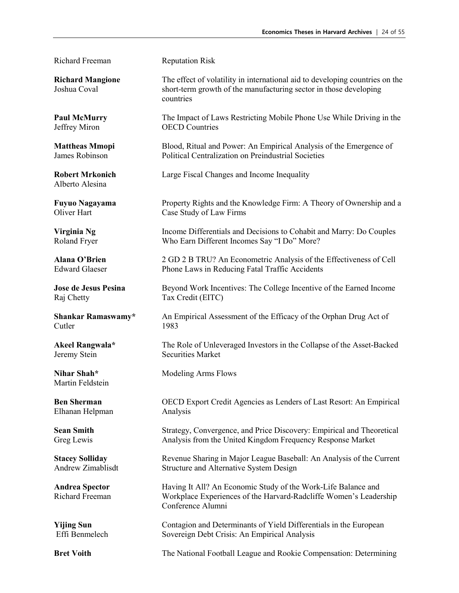Richard Freeman Reputation Risk

Alberto Alesina

Raj Chetty Tax Credit (EITC)

Cutler 1983

Martin Feldstein

Elhanan Helpman Analysis

**Richard Mangione** The effect of volatility in international aid to developing countries on the Joshua Coval short-term growth of the manufacturing sector in those developing countries

**Paul McMurry** The Impact of Laws Restricting Mobile Phone Use While Driving in the Jeffrey Miron OECD Countries

**Mattheas Mmopi** Blood, Ritual and Power: An Empirical Analysis of the Emergence of James Robinson Political Centralization on Preindustrial Societies

**Robert Mrkonich** Large Fiscal Changes and Income Inequality

**Fuyuo Nagayama** Property Rights and the Knowledge Firm: A Theory of Ownership and a Oliver Hart Case Study of Law Firms

**Virginia Ng** Income Differentials and Decisions to Cohabit and Marry: Do Couples Roland Fryer Who Earn Different Incomes Say "I Do" More?

**Alana O'Brien** 2 GD 2 B TRU? An Econometric Analysis of the Effectiveness of Cell Edward Glaeser Phone Laws in Reducing Fatal Traffic Accidents

**Jose de Jesus Pesina** Beyond Work Incentives: The College Incentive of the Earned Income

**Shankar Ramaswamy\*** An Empirical Assessment of the Efficacy of the Orphan Drug Act of

**Akeel Rangwala\*** The Role of Unleveraged Investors in the Collapse of the Asset-Backed Jeremy Stein Securities Market

**Nihar Shah\*** Modeling Arms Flows

**Ben Sherman** OECD Export Credit Agencies as Lenders of Last Resort: An Empirical

**Sean Smith** Strategy, Convergence, and Price Discovery: Empirical and Theoretical Greg Lewis Analysis from the United Kingdom Frequency Response Market

**Stacey Solliday** Revenue Sharing in Major League Baseball: An Analysis of the Current Andrew Zimablisdt Structure and Alternative System Design

**Andrea Spector** Having It All? An Economic Study of the Work-Life Balance and Richard Freeman Workplace Experiences of the Harvard-Radcliffe Women's Leadership Conference Alumni

**Yijing Sun** Contagion and Determinants of Yield Differentials in the European Effi Benmelech Sovereign Debt Crisis: An Empirical Analysis

**Bret Voith** The National Football League and Rookie Compensation: Determining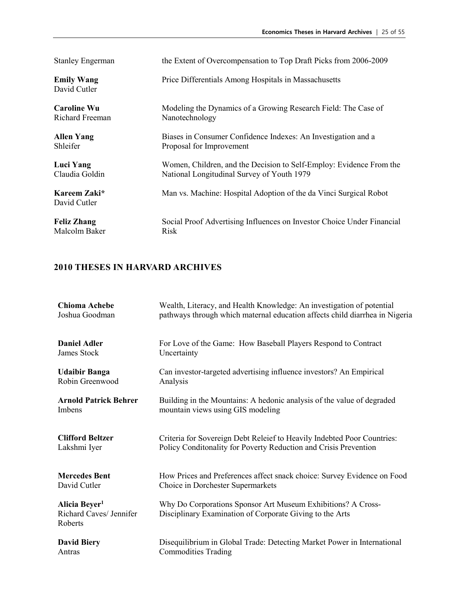| <b>Stanley Engerman</b>           | the Extent of Overcompensation to Top Draft Picks from 2006-2009       |
|-----------------------------------|------------------------------------------------------------------------|
| <b>Emily Wang</b><br>David Cutler | Price Differentials Among Hospitals in Massachusetts                   |
| <b>Caroline Wu</b>                | Modeling the Dynamics of a Growing Research Field: The Case of         |
| Richard Freeman                   | Nanotechnology                                                         |
| <b>Allen Yang</b>                 | Biases in Consumer Confidence Indexes: An Investigation and a          |
| Shleifer                          | Proposal for Improvement                                               |
| <b>Luci Yang</b>                  | Women, Children, and the Decision to Self-Employ: Evidence From the    |
| Claudia Goldin                    | National Longitudinal Survey of Youth 1979                             |
| Kareem Zaki*<br>David Cutler      | Man vs. Machine: Hospital Adoption of the da Vinci Surgical Robot      |
| <b>Feliz Zhang</b>                | Social Proof Advertising Influences on Investor Choice Under Financial |
| Malcolm Baker                     | Risk                                                                   |

| <b>Chioma Achebe</b>                                            | Wealth, Literacy, and Health Knowledge: An investigation of potential                                                    |
|-----------------------------------------------------------------|--------------------------------------------------------------------------------------------------------------------------|
| Joshua Goodman                                                  | pathways through which maternal education affects child diarrhea in Nigeria                                              |
| <b>Daniel Adler</b>                                             | For Love of the Game: How Baseball Players Respond to Contract                                                           |
| James Stock                                                     | Uncertainty                                                                                                              |
| <b>Udaibir Banga</b>                                            | Can investor-targeted advertising influence investors? An Empirical                                                      |
| Robin Greenwood                                                 | Analysis                                                                                                                 |
| <b>Arnold Patrick Behrer</b>                                    | Building in the Mountains: A hedonic analysis of the value of degraded                                                   |
| Imbens                                                          | mountain views using GIS modeling                                                                                        |
| <b>Clifford Beltzer</b>                                         | Criteria for Sovereign Debt Releief to Heavily Indebted Poor Countries:                                                  |
| Lakshmi Iyer                                                    | Policy Conditonality for Poverty Reduction and Crisis Prevention                                                         |
| <b>Mercedes Bent</b>                                            | How Prices and Preferences affect snack choice: Survey Evidence on Food                                                  |
| David Cutler                                                    | Choice in Dorchester Supermarkets                                                                                        |
| Alicia Beyer <sup>1</sup><br>Richard Caves/ Jennifer<br>Roberts | Why Do Corporations Sponsor Art Museum Exhibitions? A Cross-<br>Disciplinary Examination of Corporate Giving to the Arts |
| <b>David Biery</b>                                              | Disequilibrium in Global Trade: Detecting Market Power in International                                                  |
| Antras                                                          | <b>Commodities Trading</b>                                                                                               |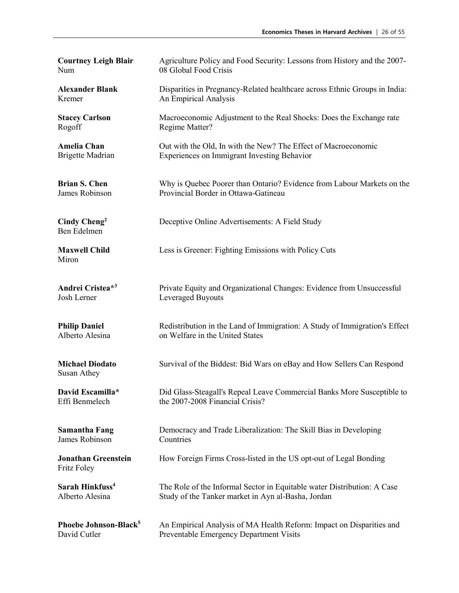| <b>Courtney Leigh Blair</b>               | Agriculture Policy and Food Security: Lessons from History and the 2007-   |
|-------------------------------------------|----------------------------------------------------------------------------|
| Num                                       | 08 Global Food Crisis                                                      |
| <b>Alexander Blank</b>                    | Disparities in Pregnancy-Related healthcare across Ethnic Groups in India: |
| Kremer                                    | An Empirical Analysis                                                      |
| <b>Stacey Carlson</b>                     | Macroeconomic Adjustment to the Real Shocks: Does the Exchange rate        |
| Rogoff                                    | Regime Matter?                                                             |
| <b>Amelia Chan</b>                        | Out with the Old, In with the New? The Effect of Macroeconomic             |
| <b>Brigette Madrian</b>                   | Experiences on Immigrant Investing Behavior                                |
| <b>Brian S. Chen</b>                      | Why is Quebec Poorer than Ontario? Evidence from Labour Markets on the     |
| James Robinson                            | Provincial Border in Ottawa-Gatineau                                       |
| Cindy Cheng <sup>2</sup><br>Ben Edelmen   | Deceptive Online Advertisements: A Field Study                             |
| <b>Maxwell Child</b><br>Miron             | Less is Greener: Fighting Emissions with Policy Cuts                       |
| Andrei Cristea*3                          | Private Equity and Organizational Changes: Evidence from Unsuccessful      |
| Josh Lerner                               | Leveraged Buyouts                                                          |
| <b>Philip Daniel</b>                      | Redistribution in the Land of Immigration: A Study of Immigration's Effect |
| Alberto Alesina                           | on Welfare in the United States                                            |
| <b>Michael Diodato</b><br>Susan Athey     | Survival of the Biddest: Bid Wars on eBay and How Sellers Can Respond      |
| David Escamilla*                          | Did Glass-Steagall's Repeal Leave Commercial Banks More Susceptible to     |
| Effi Benmelech                            | the 2007-2008 Financial Crisis?                                            |
| <b>Samantha Fang</b>                      | Democracy and Trade Liberalization: The Skill Bias in Developing           |
| James Robinson                            | Countries                                                                  |
| <b>Jonathan Greenstein</b><br>Fritz Foley | How Foreign Firms Cross-listed in the US opt-out of Legal Bonding          |
| Sarah Hinkfuss <sup>4</sup>               | The Role of the Informal Sector in Equitable water Distribution: A Case    |
| Alberto Alesina                           | Study of the Tanker market in Ayn al-Basha, Jordan                         |
| Phoebe Johnson-Black <sup>5</sup>         | An Empirical Analysis of MA Health Reform: Impact on Disparities and       |
| David Cutler                              | Preventable Emergency Department Visits                                    |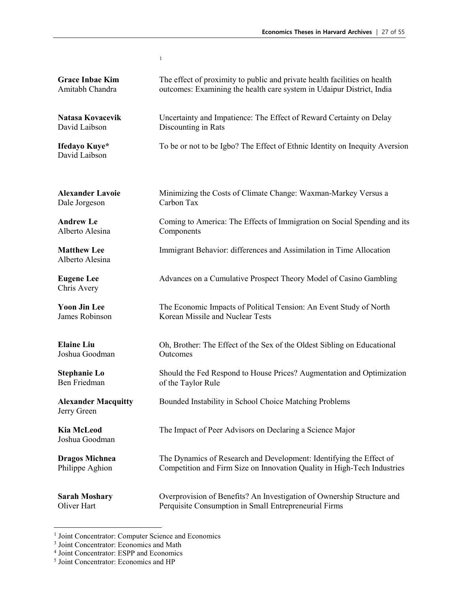|                                           | $\mathbf{1}$                                                                |
|-------------------------------------------|-----------------------------------------------------------------------------|
| <b>Grace Inbae Kim</b>                    | The effect of proximity to public and private health facilities on health   |
| Amitabh Chandra                           | outcomes: Examining the health care system in Udaipur District, India       |
| Natasa Kovacevik                          | Uncertainty and Impatience: The Effect of Reward Certainty on Delay         |
| David Laibson                             | Discounting in Rats                                                         |
| Ifedayo Kuye*<br>David Laibson            | To be or not to be Igbo? The Effect of Ethnic Identity on Inequity Aversion |
| <b>Alexander Lavoie</b>                   | Minimizing the Costs of Climate Change: Waxman-Markey Versus a              |
| Dale Jorgeson                             | Carbon Tax                                                                  |
| <b>Andrew Le</b>                          | Coming to America: The Effects of Immigration on Social Spending and its    |
| Alberto Alesina                           | Components                                                                  |
| <b>Matthew Lee</b><br>Alberto Alesina     | Immigrant Behavior: differences and Assimilation in Time Allocation         |
| <b>Eugene Lee</b><br>Chris Avery          | Advances on a Cumulative Prospect Theory Model of Casino Gambling           |
| <b>Yoon Jin Lee</b>                       | The Economic Impacts of Political Tension: An Event Study of North          |
| James Robinson                            | Korean Missile and Nuclear Tests                                            |
| <b>Elaine Liu</b>                         | Oh, Brother: The Effect of the Sex of the Oldest Sibling on Educational     |
| Joshua Goodman                            | Outcomes                                                                    |
| <b>Stephanie Lo</b>                       | Should the Fed Respond to House Prices? Augmentation and Optimization       |
| Ben Friedman                              | of the Taylor Rule                                                          |
| <b>Alexander Macquitty</b><br>Jerry Green | Bounded Instability in School Choice Matching Problems                      |
| <b>Kia McLeod</b><br>Joshua Goodman       | The Impact of Peer Advisors on Declaring a Science Major                    |
| <b>Dragos Michnea</b>                     | The Dynamics of Research and Development: Identifying the Effect of         |
| Philippe Aghion                           | Competition and Firm Size on Innovation Quality in High-Tech Industries     |
| <b>Sarah Moshary</b>                      | Overprovision of Benefits? An Investigation of Ownership Structure and      |
| Oliver Hart                               | Perquisite Consumption in Small Entrepreneurial Firms                       |

<span id="page-26-0"></span> <sup>1</sup> Joint Concentrator: Computer Science and Economics

<sup>3</sup> Joint Concentrator: Economics and Math

<sup>4</sup> Joint Concentrator: ESPP and Economics

<sup>5</sup> Joint Concentrator: Economics and HP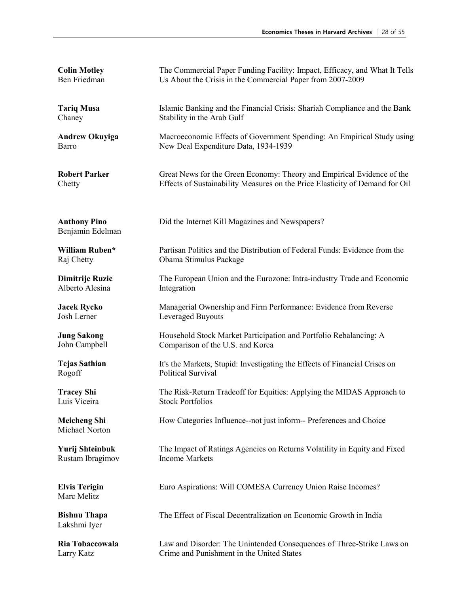| <b>Colin Motley</b>                     | The Commercial Paper Funding Facility: Impact, Efficacy, and What It Tells   |
|-----------------------------------------|------------------------------------------------------------------------------|
| Ben Friedman                            | Us About the Crisis in the Commercial Paper from 2007-2009                   |
| <b>Tariq Musa</b>                       | Islamic Banking and the Financial Crisis: Shariah Compliance and the Bank    |
| Chaney                                  | Stability in the Arab Gulf                                                   |
| <b>Andrew Okuyiga</b>                   | Macroeconomic Effects of Government Spending: An Empirical Study using       |
| Barro                                   | New Deal Expenditure Data, 1934-1939                                         |
| <b>Robert Parker</b>                    | Great News for the Green Economy: Theory and Empirical Evidence of the       |
| Chetty                                  | Effects of Sustainability Measures on the Price Elasticity of Demand for Oil |
| <b>Anthony Pino</b><br>Benjamin Edelman | Did the Internet Kill Magazines and Newspapers?                              |
| William Ruben*                          | Partisan Politics and the Distribution of Federal Funds: Evidence from the   |
| Raj Chetty                              | Obama Stimulus Package                                                       |
| Dimitrije Ruzic                         | The European Union and the Eurozone: Intra-industry Trade and Economic       |
| Alberto Alesina                         | Integration                                                                  |
| <b>Jacek Rycko</b>                      | Managerial Ownership and Firm Performance: Evidence from Reverse             |
| Josh Lerner                             | Leveraged Buyouts                                                            |
| <b>Jung Sakong</b>                      | Household Stock Market Participation and Portfolio Rebalancing: A            |
| John Campbell                           | Comparison of the U.S. and Korea                                             |
| <b>Tejas Sathian</b>                    | It's the Markets, Stupid: Investigating the Effects of Financial Crises on   |
| Rogoff                                  | Political Survival                                                           |
| <b>Tracey Shi</b>                       | The Risk-Return Tradeoff for Equities: Applying the MIDAS Approach to        |
| Luis Viceira                            | <b>Stock Portfolios</b>                                                      |
| <b>Meicheng Shi</b><br>Michael Norton   | How Categories Influence--not just inform-- Preferences and Choice           |
| Yurij Shteinbuk                         | The Impact of Ratings Agencies on Returns Volatility in Equity and Fixed     |
| Rustam Ibragimov                        | <b>Income Markets</b>                                                        |
| <b>Elvis Terigin</b><br>Marc Melitz     | Euro Aspirations: Will COMESA Currency Union Raise Incomes?                  |
| <b>Bishnu Thapa</b><br>Lakshmi Iyer     | The Effect of Fiscal Decentralization on Economic Growth in India            |
| Ria Tobaccowala                         | Law and Disorder: The Unintended Consequences of Three-Strike Laws on        |
| Larry Katz                              | Crime and Punishment in the United States                                    |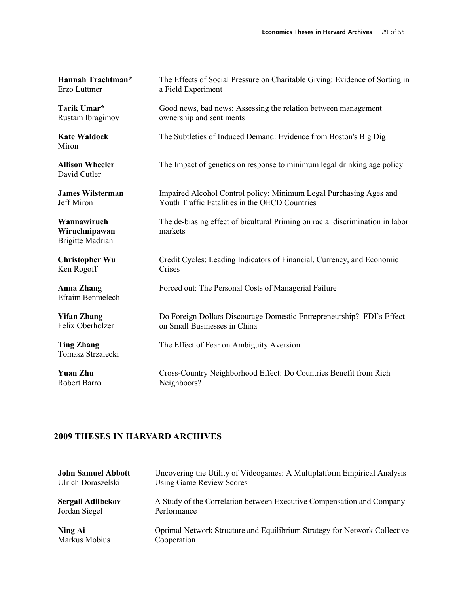| Hannah Trachtman*                                       | The Effects of Social Pressure on Charitable Giving: Evidence of Sorting in              |
|---------------------------------------------------------|------------------------------------------------------------------------------------------|
| Erzo Luttmer                                            | a Field Experiment                                                                       |
| Tarik Umar*                                             | Good news, bad news: Assessing the relation between management                           |
| Rustam Ibragimov                                        | ownership and sentiments                                                                 |
| <b>Kate Waldock</b><br>Miron                            | The Subtleties of Induced Demand: Evidence from Boston's Big Dig                         |
| <b>Allison Wheeler</b><br>David Cutler                  | The Impact of genetics on response to minimum legal drinking age policy                  |
| <b>James Wilsterman</b>                                 | Impaired Alcohol Control policy: Minimum Legal Purchasing Ages and                       |
| <b>Jeff Miron</b>                                       | Youth Traffic Fatalities in the OECD Countries                                           |
| Wannawiruch<br>Wiruchnipawan<br><b>Brigitte Madrian</b> | The de-biasing effect of bicultural Priming on racial discrimination in labor<br>markets |
| <b>Christopher Wu</b>                                   | Credit Cycles: Leading Indicators of Financial, Currency, and Economic                   |
| Ken Rogoff                                              | Crises                                                                                   |
| <b>Anna Zhang</b><br>Efraim Benmelech                   | Forced out: The Personal Costs of Managerial Failure                                     |
| <b>Yifan Zhang</b>                                      | Do Foreign Dollars Discourage Domestic Entrepreneurship? FDI's Effect                    |
| Felix Oberholzer                                        | on Small Businesses in China                                                             |
| <b>Ting Zhang</b><br>Tomasz Strzalecki                  | The Effect of Fear on Ambiguity Aversion                                                 |
| <b>Yuan Zhu</b>                                         | Cross-Country Neighborhood Effect: Do Countries Benefit from Rich                        |
| Robert Barro                                            | Neighboors?                                                                              |

| <b>John Samuel Abbott</b> | Uncovering the Utility of Videogames: A Multiplatform Empirical Analysis  |
|---------------------------|---------------------------------------------------------------------------|
| Ulrich Doraszelski        | <b>Using Game Review Scores</b>                                           |
| Sergali Adilbekov         | A Study of the Correlation between Executive Compensation and Company     |
| Jordan Siegel             | Performance                                                               |
| Ning Ai                   | Optimal Network Structure and Equilibrium Strategy for Network Collective |
| Markus Mobius             | Cooperation                                                               |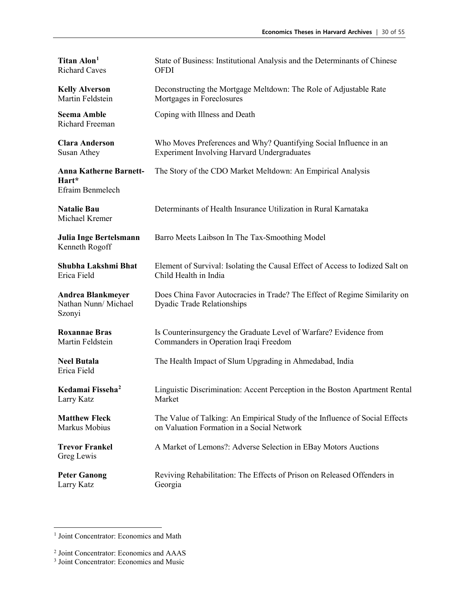| Titan Alon <sup>1</sup>                                    | State of Business: Institutional Analysis and the Determinants of Chinese                                      |
|------------------------------------------------------------|----------------------------------------------------------------------------------------------------------------|
| <b>Richard Caves</b>                                       | <b>OFDI</b>                                                                                                    |
| <b>Kelly Alverson</b>                                      | Deconstructing the Mortgage Meltdown: The Role of Adjustable Rate                                              |
| Martin Feldstein                                           | Mortgages in Foreclosures                                                                                      |
| <b>Seema Amble</b><br>Richard Freeman                      | Coping with Illness and Death                                                                                  |
| <b>Clara Anderson</b>                                      | Who Moves Preferences and Why? Quantifying Social Influence in an                                              |
| Susan Athey                                                | <b>Experiment Involving Harvard Undergraduates</b>                                                             |
| <b>Anna Katherne Barnett-</b><br>Hart*<br>Efraim Benmelech | The Story of the CDO Market Meltdown: An Empirical Analysis                                                    |
| <b>Natalie Bau</b><br>Michael Kremer                       | Determinants of Health Insurance Utilization in Rural Karnataka                                                |
| Julia Inge Bertelsmann<br>Kenneth Rogoff                   | Barro Meets Laibson In The Tax-Smoothing Model                                                                 |
| Shubha Lakshmi Bhat                                        | Element of Survival: Isolating the Causal Effect of Access to Iodized Salt on                                  |
| Erica Field                                                | Child Health in India                                                                                          |
| <b>Andrea Blankmeyer</b><br>Nathan Nunn/ Michael<br>Szonyi | Does China Favor Autocracies in Trade? The Effect of Regime Similarity on<br><b>Dyadic Trade Relationships</b> |
| <b>Roxannae Bras</b>                                       | Is Counterinsurgency the Graduate Level of Warfare? Evidence from                                              |
| Martin Feldstein                                           | Commanders in Operation Iraqi Freedom                                                                          |
| <b>Neel Butala</b><br>Erica Field                          | The Health Impact of Slum Upgrading in Ahmedabad, India                                                        |
| Kedamai Fisseha <sup>2</sup>                               | Linguistic Discrimination: Accent Perception in the Boston Apartment Rental                                    |
| Larry Katz                                                 | Market                                                                                                         |
| <b>Matthew Fleck</b>                                       | The Value of Talking: An Empirical Study of the Influence of Social Effects                                    |
| Markus Mobius                                              | on Valuation Formation in a Social Network                                                                     |
| <b>Trevor Frankel</b><br>Greg Lewis                        | A Market of Lemons?: Adverse Selection in EBay Motors Auctions                                                 |
| <b>Peter Ganong</b>                                        | Reviving Rehabilitation: The Effects of Prison on Released Offenders in                                        |
| Larry Katz                                                 | Georgia                                                                                                        |

<span id="page-29-0"></span><sup>&</sup>lt;sup>1</sup> Joint Concentrator: Economics and Math

<span id="page-29-1"></span><sup>2</sup> Joint Concentrator: Economics and AAAS

<sup>3</sup> Joint Concentrator: Economics and Music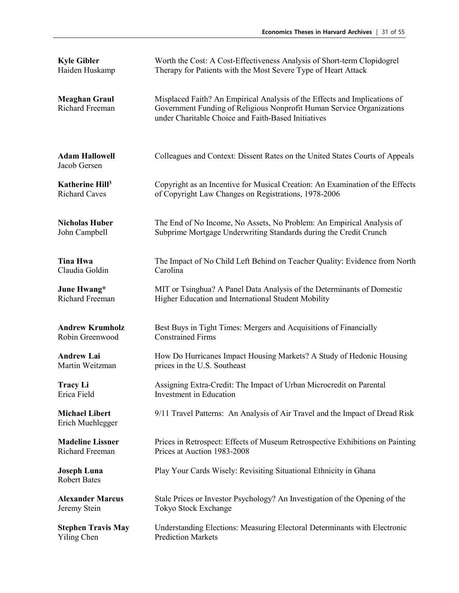| <b>Kyle Gibler</b>                        | Worth the Cost: A Cost-Effectiveness Analysis of Short-term Clopidogrel                                                                                                                                   |
|-------------------------------------------|-----------------------------------------------------------------------------------------------------------------------------------------------------------------------------------------------------------|
| Haiden Huskamp                            | Therapy for Patients with the Most Severe Type of Heart Attack                                                                                                                                            |
| <b>Meaghan Graul</b><br>Richard Freeman   | Misplaced Faith? An Empirical Analysis of the Effects and Implications of<br>Government Funding of Religious Nonprofit Human Service Organizations<br>under Charitable Choice and Faith-Based Initiatives |
| <b>Adam Hallowell</b><br>Jacob Gersen     | Colleagues and Context: Dissent Rates on the United States Courts of Appeals                                                                                                                              |
| Katherine Hill <sup>3</sup>               | Copyright as an Incentive for Musical Creation: An Examination of the Effects                                                                                                                             |
| <b>Richard Caves</b>                      | of Copyright Law Changes on Registrations, 1978-2006                                                                                                                                                      |
| <b>Nicholas Huber</b>                     | The End of No Income, No Assets, No Problem: An Empirical Analysis of                                                                                                                                     |
| John Campbell                             | Subprime Mortgage Underwriting Standards during the Credit Crunch                                                                                                                                         |
| <b>Tina Hwa</b>                           | The Impact of No Child Left Behind on Teacher Quality: Evidence from North                                                                                                                                |
| Claudia Goldin                            | Carolina                                                                                                                                                                                                  |
| June Hwang*                               | MIT or Tsinghua? A Panel Data Analysis of the Determinants of Domestic                                                                                                                                    |
| Richard Freeman                           | Higher Education and International Student Mobility                                                                                                                                                       |
| <b>Andrew Krumholz</b>                    | Best Buys in Tight Times: Mergers and Acquisitions of Financially                                                                                                                                         |
| Robin Greenwood                           | <b>Constrained Firms</b>                                                                                                                                                                                  |
| <b>Andrew Lai</b>                         | How Do Hurricanes Impact Housing Markets? A Study of Hedonic Housing                                                                                                                                      |
| Martin Weitzman                           | prices in the U.S. Southeast                                                                                                                                                                              |
| <b>Tracy Li</b>                           | Assigning Extra-Credit: The Impact of Urban Microcredit on Parental                                                                                                                                       |
| Erica Field                               | Investment in Education                                                                                                                                                                                   |
| <b>Michael Libert</b><br>Erich Muehlegger | 9/11 Travel Patterns: An Analysis of Air Travel and the Impact of Dread Risk                                                                                                                              |
| <b>Madeline Lissner</b>                   | Prices in Retrospect: Effects of Museum Retrospective Exhibitions on Painting                                                                                                                             |
| Richard Freeman                           | Prices at Auction 1983-2008                                                                                                                                                                               |
| <b>Joseph Luna</b><br><b>Robert Bates</b> | Play Your Cards Wisely: Revisiting Situational Ethnicity in Ghana                                                                                                                                         |
| <b>Alexander Marcus</b>                   | Stale Prices or Investor Psychology? An Investigation of the Opening of the                                                                                                                               |
| Jeremy Stein                              | Tokyo Stock Exchange                                                                                                                                                                                      |
| <b>Stephen Travis May</b>                 | Understanding Elections: Measuring Electoral Determinants with Electronic                                                                                                                                 |
| Yiling Chen                               | <b>Prediction Markets</b>                                                                                                                                                                                 |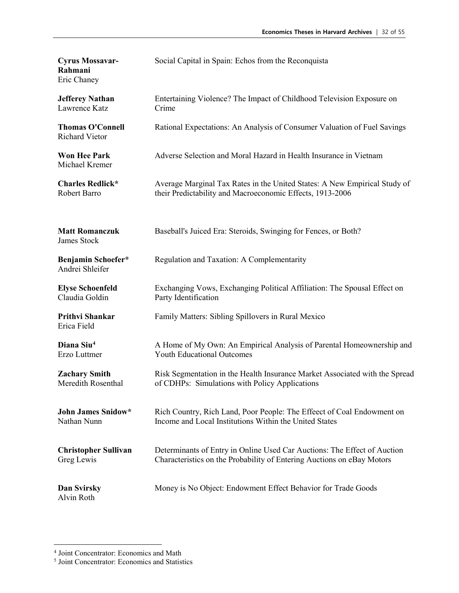| <b>Cyrus Mossavar-</b><br>Rahmani<br>Eric Chaney | Social Capital in Spain: Echos from the Reconquista                         |
|--------------------------------------------------|-----------------------------------------------------------------------------|
| <b>Jefferey Nathan</b>                           | Entertaining Violence? The Impact of Childhood Television Exposure on       |
| Lawrence Katz                                    | Crime                                                                       |
| <b>Thomas O'Connell</b><br>Richard Vietor        | Rational Expectations: An Analysis of Consumer Valuation of Fuel Savings    |
| <b>Won Hee Park</b><br>Michael Kremer            | Adverse Selection and Moral Hazard in Health Insurance in Vietnam           |
| <b>Charles Redlick*</b>                          | Average Marginal Tax Rates in the United States: A New Empirical Study of   |
| Robert Barro                                     | their Predictability and Macroeconomic Effects, 1913-2006                   |
| <b>Matt Romanczuk</b><br>James Stock             | Baseball's Juiced Era: Steroids, Swinging for Fences, or Both?              |
| Benjamin Schoefer*<br>Andrei Shleifer            | Regulation and Taxation: A Complementarity                                  |
| <b>Elyse Schoenfeld</b>                          | Exchanging Vows, Exchanging Political Affiliation: The Spousal Effect on    |
| Claudia Goldin                                   | Party Identification                                                        |
| Prithvi Shankar<br>Erica Field                   | Family Matters: Sibling Spillovers in Rural Mexico                          |
| Diana Siu <sup>4</sup>                           | A Home of My Own: An Empirical Analysis of Parental Homeownership and       |
| Erzo Luttmer                                     | <b>Youth Educational Outcomes</b>                                           |
| <b>Zachary Smith</b>                             | Risk Segmentation in the Health Insurance Market Associated with the Spread |
| Meredith Rosenthal                               | of CDHPs: Simulations with Policy Applications                              |
| <b>John James Snidow*</b>                        | Rich Country, Rich Land, Poor People: The Effeect of Coal Endowment on      |
| Nathan Nunn                                      | Income and Local Institutions Within the United States                      |
| <b>Christopher Sullivan</b>                      | Determinants of Entry in Online Used Car Auctions: The Effect of Auction    |
| Greg Lewis                                       | Characteristics on the Probability of Entering Auctions on eBay Motors      |
| Dan Svirsky<br>Alvin Roth                        | Money is No Object: Endowment Effect Behavior for Trade Goods               |

<span id="page-31-0"></span> <sup>4</sup> Joint Concentrator: Economics and Math

<sup>5</sup> Joint Concentrator: Economics and Statistics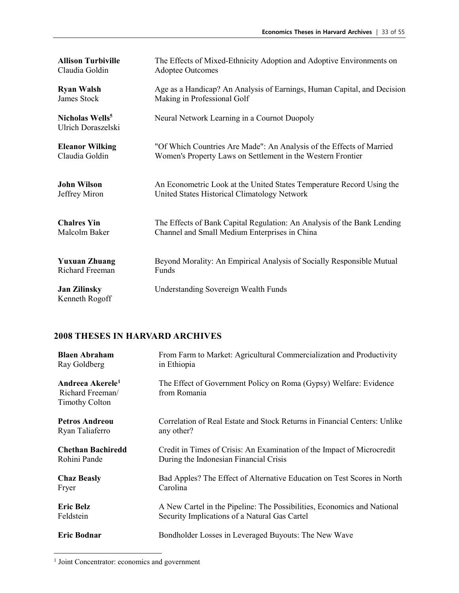| <b>Allison Turbiville</b>                         | The Effects of Mixed-Ethnicity Adoption and Adoptive Environments on    |
|---------------------------------------------------|-------------------------------------------------------------------------|
| Claudia Goldin                                    | <b>Adoptee Outcomes</b>                                                 |
| <b>Ryan Walsh</b>                                 | Age as a Handicap? An Analysis of Earnings, Human Capital, and Decision |
| James Stock                                       | Making in Professional Golf                                             |
| Nicholas Wells <sup>5</sup><br>Ulrich Doraszelski | Neural Network Learning in a Cournot Duopoly                            |
| <b>Eleanor Wilking</b>                            | "Of Which Countries Are Made": An Analysis of the Effects of Married    |
| Claudia Goldin                                    | Women's Property Laws on Settlement in the Western Frontier             |
| <b>John Wilson</b>                                | An Econometric Look at the United States Temperature Record Using the   |
| Jeffrey Miron                                     | United States Historical Climatology Network                            |
| <b>Chalres Yin</b>                                | The Effects of Bank Capital Regulation: An Analysis of the Bank Lending |
| Malcolm Baker                                     | Channel and Small Medium Enterprises in China                           |
| <b>Yuxuan Zhuang</b>                              | Beyond Morality: An Empirical Analysis of Socially Responsible Mutual   |
| Richard Freeman                                   | Funds                                                                   |
| <b>Jan Zilinsky</b><br>Kenneth Rogoff             | Understanding Sovereign Wealth Funds                                    |

| <b>Blaen Abraham</b>                                                      | From Farm to Market: Agricultural Commercialization and Productivity              |
|---------------------------------------------------------------------------|-----------------------------------------------------------------------------------|
| Ray Goldberg                                                              | in Ethiopia                                                                       |
| Andreea Akerele <sup>1</sup><br>Richard Freeman/<br><b>Timothy Colton</b> | The Effect of Government Policy on Roma (Gypsy) Welfare: Evidence<br>from Romania |
| <b>Petros Andreou</b>                                                     | Correlation of Real Estate and Stock Returns in Financial Centers: Unlike         |
| Ryan Taliaferro                                                           | any other?                                                                        |
| <b>Chethan Bachiredd</b>                                                  | Credit in Times of Crisis: An Examination of the Impact of Microcredit            |
| Rohini Pande                                                              | During the Indonesian Financial Crisis                                            |
| <b>Chaz Beasly</b>                                                        | Bad Apples? The Effect of Alternative Education on Test Scores in North           |
| Fryer                                                                     | Carolina                                                                          |
| <b>Eric Belz</b>                                                          | A New Cartel in the Pipeline: The Possibilities, Economics and National           |
| Feldstein                                                                 | Security Implications of a Natural Gas Cartel                                     |
| <b>Eric Bodnar</b>                                                        | Bondholder Losses in Leveraged Buyouts: The New Wave                              |

<span id="page-32-0"></span><sup>1</sup> Joint Concentrator: economics and government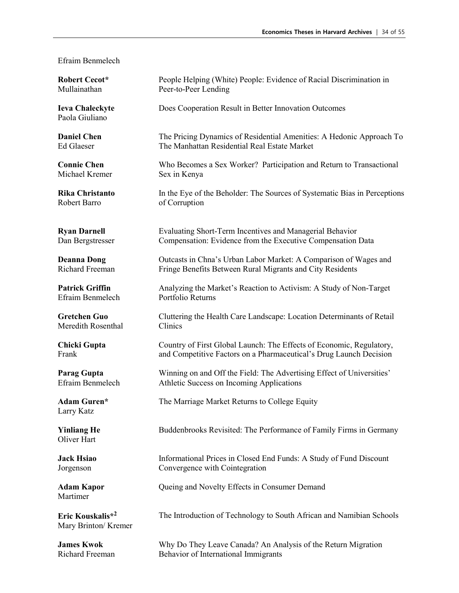#### Efraim Benmelech

**Robert Cecot\*** Mullainathan

Paola Giuliano

**Daniel Chen** Ed Glaeser

**Connie Chen** Michael Kremer

**Rika Christanto** Robert Barro

**Ryan Darnell** Dan Bergstresser

**Deanna Dong** Richard Freeman

**Patrick Griffin** Efraim Benmelech

**Gretchen Guo** Meredith Rosenthal

**Chicki Gupta** Frank

**Parag Gupta** Efraim Benmelech

**Adam Guren\*** Larry Katz

**Yinliang He** Oliver Hart

**Jack Hsiao** Jorgenson

Martimer

**Eric Kouskalis\*2**  Mary Brinton/ Kremer

**James Kwok** Richard Freeman

People Helping (White) People: Evidence of Racial Discrimination in Peer-to-Peer Lending **Ieva Chaleckyte** Does Cooperation Result in Better Innovation Outcomes The Pricing Dynamics of Residential Amenities: A Hedonic Approach To The Manhattan Residential Real Estate Market Who Becomes a Sex Worker? Participation and Return to Transactional Sex in Kenya In the Eye of the Beholder: The Sources of Systematic Bias in Perceptions of Corruption Evaluating Short-Term Incentives and Managerial Behavior Compensation: Evidence from the Executive Compensation Data Outcasts in Chna's Urban Labor Market: A Comparison of Wages and Fringe Benefits Between Rural Migrants and City Residents Analyzing the Market's Reaction to Activism: A Study of Non-Target Portfolio Returns Cluttering the Health Care Landscape: Location Determinants of Retail Clinics Country of First Global Launch: The Effects of Economic, Regulatory, and Competitive Factors on a Pharmaceutical's Drug Launch Decision Winning on and Off the Field: The Advertising Effect of Universities' Athletic Success on Incoming Applications The Marriage Market Returns to College Equity Buddenbrooks Revisited: The Performance of Family Firms in Germany Informational Prices in Closed End Funds: A Study of Fund Discount Convergence with Cointegration Adam Kapor **Queing and Novelty Effects in Consumer Demand** The Introduction of Technology to South African and Namibian Schools

Why Do They Leave Canada? An Analysis of the Return Migration Behavior of International Immigrants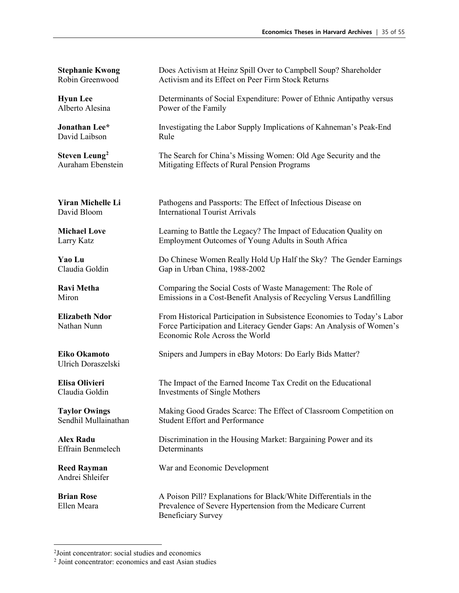**Stephanie Kwong** Robin Greenwood Does Activism at Heinz Spill Over to Campbell Soup? Shareholder Activism and its Effect on Peer Firm Stock Returns **Hyun Lee** Alberto Alesina Determinants of Social Expenditure: Power of Ethnic Antipathy versus Power of the Family **Jonathan Lee\*** David Laibson Investigating the Labor Supply Implications of Kahneman's Peak-End Rule **Steven Leung[2](#page-34-0)** Auraham Ebenstein The Search for China's Missing Women: Old Age Security and the Mitigating Effects of Rural Pension Programs **Yiran Michelle Li** David Bloom Pathogens and Passports: The Effect of Infectious Disease on International Tourist Arrivals **Michael Love** Larry Katz Learning to Battle the Legacy? The Impact of Education Quality on Employment Outcomes of Young Adults in South Africa **Yao Lu** Claudia Goldin Do Chinese Women Really Hold Up Half the Sky? The Gender Earnings Gap in Urban China, 1988-2002 **Ravi Metha** Miron Comparing the Social Costs of Waste Management: The Role of Emissions in a Cost-Benefit Analysis of Recycling Versus Landfilling **Elizabeth Ndor** Nathan Nunn From Historical Participation in Subsistence Economies to Today's Labor Force Participation and Literacy Gender Gaps: An Analysis of Women's Economic Role Across the World **Eiko Okamoto** Ulrich Doraszelski Snipers and Jumpers in eBay Motors: Do Early Bids Matter? **Elisa Olivieri** Claudia Goldin The Impact of the Earned Income Tax Credit on the Educational Investments of Single Mothers **Taylor Owings** Sendhil Mullainathan Making Good Grades Scarce: The Effect of Classroom Competition on Student Effort and Performance **Alex Radu** Effrain Benmelech Discrimination in the Housing Market: Bargaining Power and its **Determinants Reed Rayman** War and Economic Development Andrei Shleifer **Brian Rose** Ellen Meara A Poison Pill? Explanations for Black/White Differentials in the Prevalence of Severe Hypertension from the Medicare Current Beneficiary Survey

<span id="page-34-0"></span> $\frac{1}{2}$ <sup>2</sup>Joint concentrator: social studies and economics

<sup>2</sup> Joint concentrator: economics and east Asian studies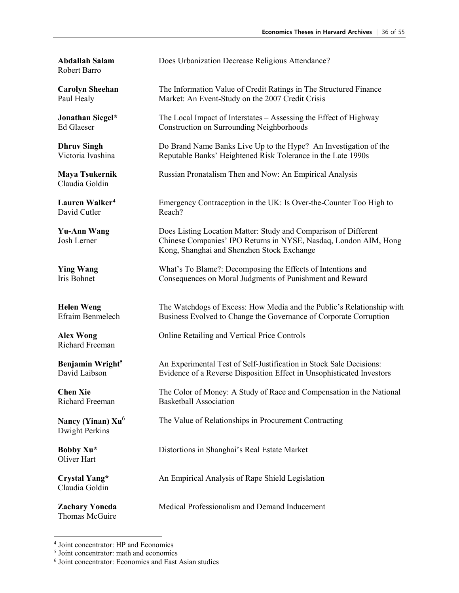Robert Barro

**Carolyn Sheehan** Paul Healy

**Jonathan Siegel\*** Ed Glaeser

**Dhruv Singh** Victoria Ivashina

**Maya Tsukernik** Claudia Goldin

**Lauren Walker[4](#page-35-0)** David Cutler

**Yu-Ann Wang** Josh Lerner

**Ying Wang** Iris Bohnet

**Helen Weng** Efraim Benmelech

**Alex Wong** Richard Freeman

**Benjamin Wright5** David Laibson

**Chen Xie** Richard Freeman

**Nancy (Yinan) Xu**<sup>6</sup> Dwight Perkins

Oliver Hart

**Crystal Yang\*** Claudia Goldin

**Zachary Yoneda** Thomas McGuire

**Abdallah Salam** Does Urbanization Decrease Religious Attendance?

The Information Value of Credit Ratings in The Structured Finance Market: An Event-Study on the 2007 Credit Crisis

The Local Impact of Interstates – Assessing the Effect of Highway Construction on Surrounding Neighborhoods

Do Brand Name Banks Live Up to the Hype? An Investigation of the Reputable Banks' Heightened Risk Tolerance in the Late 1990s

Russian Pronatalism Then and Now: An Empirical Analysis

Emergency Contraception in the UK: Is Over-the-Counter Too High to Reach?

Does Listing Location Matter: Study and Comparison of Different Chinese Companies' IPO Returns in NYSE, Nasdaq, London AIM, Hong Kong, Shanghai and Shenzhen Stock Exchange

What's To Blame?: Decomposing the Effects of Intentions and Consequences on Moral Judgments of Punishment and Reward

The Watchdogs of Excess: How Media and the Public's Relationship with Business Evolved to Change the Governance of Corporate Corruption

Online Retailing and Vertical Price Controls

An Experimental Test of Self-Justification in Stock Sale Decisions: Evidence of a Reverse Disposition Effect in Unsophisticated Investors

The Color of Money: A Study of Race and Compensation in the National Basketball Association

The Value of Relationships in Procurement Contracting

**Bobby Xu<sup>\*</sup>** Distortions in Shanghai's Real Estate Market

An Empirical Analysis of Rape Shield Legislation

Medical Professionalism and Demand Inducement

<span id="page-35-0"></span> <sup>4</sup> Joint concentrator: HP and Economics

<sup>5</sup> Joint concentrator: math and economics

<sup>6</sup> Joint concentrator: Economics and East Asian studies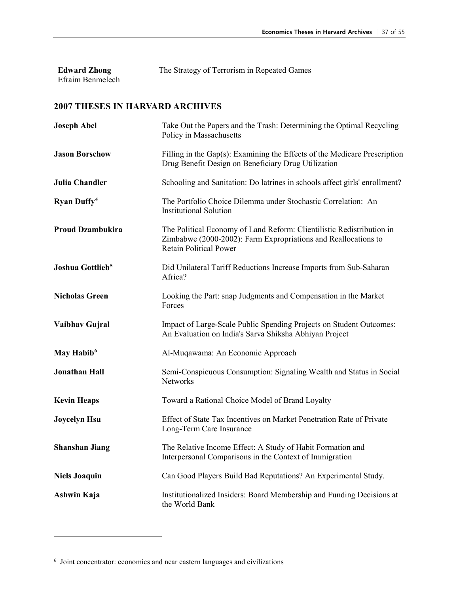| <b>Edward Zhong</b> | The Strategy of Terrorism in Repeated Games |
|---------------------|---------------------------------------------|
| Efraim Benmelech    |                                             |

| <b>Joseph Abel</b>           | Take Out the Papers and the Trash: Determining the Optimal Recycling<br>Policy in Massachusetts                                                                          |
|------------------------------|--------------------------------------------------------------------------------------------------------------------------------------------------------------------------|
| <b>Jason Borschow</b>        | Filling in the Gap(s): Examining the Effects of the Medicare Prescription<br>Drug Benefit Design on Beneficiary Drug Utilization                                         |
| <b>Julia Chandler</b>        | Schooling and Sanitation: Do latrines in schools affect girls' enrollment?                                                                                               |
| Ryan Duffy <sup>4</sup>      | The Portfolio Choice Dilemma under Stochastic Correlation: An<br><b>Institutional Solution</b>                                                                           |
| <b>Proud Dzambukira</b>      | The Political Economy of Land Reform: Clientilistic Redistribution in<br>Zimbabwe (2000-2002): Farm Expropriations and Reallocations to<br><b>Retain Political Power</b> |
| Joshua Gottlieb <sup>5</sup> | Did Unilateral Tariff Reductions Increase Imports from Sub-Saharan<br>Africa?                                                                                            |
| <b>Nicholas Green</b>        | Looking the Part: snap Judgments and Compensation in the Market<br>Forces                                                                                                |
| Vaibhav Gujral               | Impact of Large-Scale Public Spending Projects on Student Outcomes:<br>An Evaluation on India's Sarva Shiksha Abhiyan Project                                            |
| May Habib <sup>6</sup>       | Al-Muqawama: An Economic Approach                                                                                                                                        |
| <b>Jonathan Hall</b>         | Semi-Conspicuous Consumption: Signaling Wealth and Status in Social<br><b>Networks</b>                                                                                   |
| <b>Kevin Heaps</b>           | Toward a Rational Choice Model of Brand Loyalty                                                                                                                          |
| <b>Joycelyn Hsu</b>          | Effect of State Tax Incentives on Market Penetration Rate of Private<br>Long-Term Care Insurance                                                                         |
| <b>Shanshan Jiang</b>        | The Relative Income Effect: A Study of Habit Formation and<br>Interpersonal Comparisons in the Context of Immigration                                                    |
| <b>Niels Joaquin</b>         | Can Good Players Build Bad Reputations? An Experimental Study.                                                                                                           |
| Ashwin Kaja                  | Institutionalized Insiders: Board Membership and Funding Decisions at<br>the World Bank                                                                                  |

<span id="page-36-0"></span> $\overline{a}$ 

<span id="page-36-2"></span><span id="page-36-1"></span><sup>6</sup> Joint concentrator: economics and near eastern languages and civilizations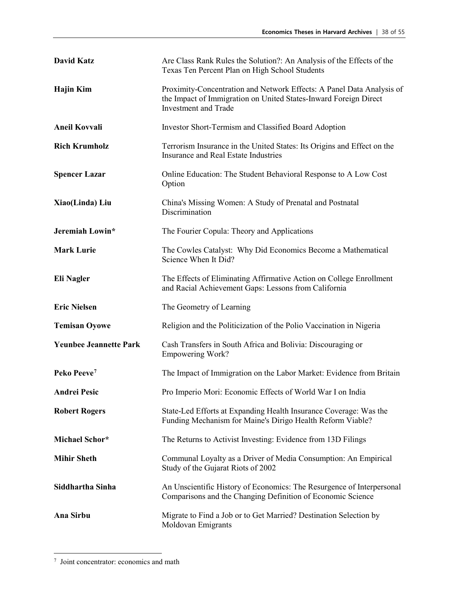| <b>David Katz</b>             | Are Class Rank Rules the Solution?: An Analysis of the Effects of the<br>Texas Ten Percent Plan on High School Students                                                  |
|-------------------------------|--------------------------------------------------------------------------------------------------------------------------------------------------------------------------|
| <b>Hajin Kim</b>              | Proximity-Concentration and Network Effects: A Panel Data Analysis of<br>the Impact of Immigration on United States-Inward Foreign Direct<br><b>Investment and Trade</b> |
| <b>Aneil Kovvali</b>          | Investor Short-Termism and Classified Board Adoption                                                                                                                     |
| <b>Rich Krumholz</b>          | Terrorism Insurance in the United States: Its Origins and Effect on the<br>Insurance and Real Estate Industries                                                          |
| <b>Spencer Lazar</b>          | Online Education: The Student Behavioral Response to A Low Cost<br>Option                                                                                                |
| Xiao(Linda) Liu               | China's Missing Women: A Study of Prenatal and Postnatal<br>Discrimination                                                                                               |
| Jeremiah Lowin*               | The Fourier Copula: Theory and Applications                                                                                                                              |
| <b>Mark Lurie</b>             | The Cowles Catalyst: Why Did Economics Become a Mathematical<br>Science When It Did?                                                                                     |
| Eli Nagler                    | The Effects of Eliminating Affirmative Action on College Enrollment<br>and Racial Achievement Gaps: Lessons from California                                              |
| <b>Eric Nielsen</b>           | The Geometry of Learning                                                                                                                                                 |
| <b>Temisan Oyowe</b>          | Religion and the Politicization of the Polio Vaccination in Nigeria                                                                                                      |
| <b>Yeunbee Jeannette Park</b> | Cash Transfers in South Africa and Bolivia: Discouraging or<br><b>Empowering Work?</b>                                                                                   |
| Peko Peeve <sup>7</sup>       | The Impact of Immigration on the Labor Market: Evidence from Britain                                                                                                     |
| <b>Andrei Pesic</b>           | Pro Imperio Mori: Economic Effects of World War I on India                                                                                                               |
| <b>Robert Rogers</b>          | State-Led Efforts at Expanding Health Insurance Coverage: Was the<br>Funding Mechanism for Maine's Dirigo Health Reform Viable?                                          |
| Michael Schor*                | The Returns to Activist Investing: Evidence from 13D Filings                                                                                                             |
| <b>Mihir Sheth</b>            | Communal Loyalty as a Driver of Media Consumption: An Empirical<br>Study of the Gujarat Riots of 2002                                                                    |
| Siddhartha Sinha              | An Unscientific History of Economics: The Resurgence of Interpersonal<br>Comparisons and the Changing Definition of Economic Science                                     |
| Ana Sirbu                     | Migrate to Find a Job or to Get Married? Destination Selection by<br>Moldovan Emigrants                                                                                  |

<span id="page-37-0"></span><sup>—&</sup>lt;br>7  $7$  Joint concentrator: economics and math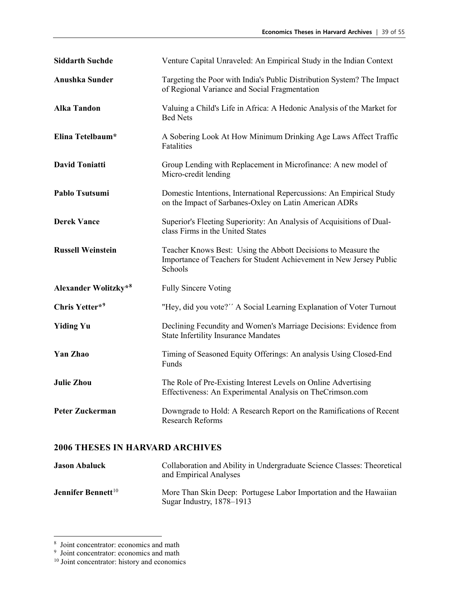| <b>Siddarth Suchde</b>   | Venture Capital Unraveled: An Empirical Study in the Indian Context                                                                             |
|--------------------------|-------------------------------------------------------------------------------------------------------------------------------------------------|
| <b>Anushka Sunder</b>    | Targeting the Poor with India's Public Distribution System? The Impact<br>of Regional Variance and Social Fragmentation                         |
| <b>Alka Tandon</b>       | Valuing a Child's Life in Africa: A Hedonic Analysis of the Market for<br><b>Bed Nets</b>                                                       |
| Elina Tetelbaum*         | A Sobering Look At How Minimum Drinking Age Laws Affect Traffic<br>Fatalities                                                                   |
| <b>David Toniatti</b>    | Group Lending with Replacement in Microfinance: A new model of<br>Micro-credit lending                                                          |
| Pablo Tsutsumi           | Domestic Intentions, International Repercussions: An Empirical Study<br>on the Impact of Sarbanes-Oxley on Latin American ADRs                  |
| <b>Derek Vance</b>       | Superior's Fleeting Superiority: An Analysis of Acquisitions of Dual-<br>class Firms in the United States                                       |
|                          |                                                                                                                                                 |
| <b>Russell Weinstein</b> | Teacher Knows Best: Using the Abbott Decisions to Measure the<br>Importance of Teachers for Student Achievement in New Jersey Public<br>Schools |
| Alexander Wolitzky*8     | <b>Fully Sincere Voting</b>                                                                                                                     |
| Chris Yetter*9           | "Hey, did you vote?" A Social Learning Explanation of Voter Turnout                                                                             |
| <b>Yiding Yu</b>         | Declining Fecundity and Women's Marriage Decisions: Evidence from<br><b>State Infertility Insurance Mandates</b>                                |
| <b>Yan Zhao</b>          | Timing of Seasoned Equity Offerings: An analysis Using Closed-End<br>Funds                                                                      |
| <b>Julie Zhou</b>        | The Role of Pre-Existing Interest Levels on Online Advertising<br>Effectiveness: An Experimental Analysis on TheCrimson.com                     |

| <b>Jason Abaluck</b>                  | Collaboration and Ability in Undergraduate Science Classes: Theoretical<br>and Empirical Analyses |
|---------------------------------------|---------------------------------------------------------------------------------------------------|
| <b>Jennifer Bennett</b> <sup>10</sup> | More Than Skin Deep: Portugese Labor Importation and the Hawaiian<br>Sugar Industry, $1878-1913$  |

<span id="page-38-0"></span> $\frac{1}{8}$ <sup>8</sup> Joint concentrator: economics and math<br><sup>9</sup> Joint concentrator: economics and math

<span id="page-38-1"></span>

<span id="page-38-2"></span><sup>&</sup>lt;sup>10</sup> Joint concentrator: history and economics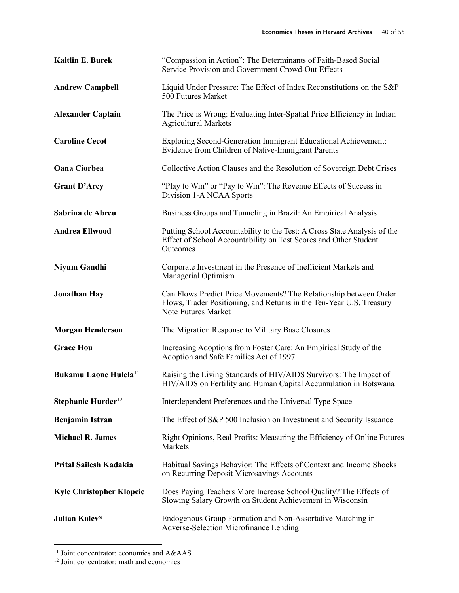| Kaitlin E. Burek                  | "Compassion in Action": The Determinants of Faith-Based Social<br>Service Provision and Government Crowd-Out Effects                                             |
|-----------------------------------|------------------------------------------------------------------------------------------------------------------------------------------------------------------|
| <b>Andrew Campbell</b>            | Liquid Under Pressure: The Effect of Index Reconstitutions on the S&P<br>500 Futures Market                                                                      |
| <b>Alexander Captain</b>          | The Price is Wrong: Evaluating Inter-Spatial Price Efficiency in Indian<br><b>Agricultural Markets</b>                                                           |
| <b>Caroline Cecot</b>             | Exploring Second-Generation Immigrant Educational Achievement:<br>Evidence from Children of Native-Immigrant Parents                                             |
| <b>Oana Ciorbea</b>               | Collective Action Clauses and the Resolution of Sovereign Debt Crises                                                                                            |
| <b>Grant D'Arcy</b>               | "Play to Win" or "Pay to Win": The Revenue Effects of Success in<br>Division 1-A NCAA Sports                                                                     |
| Sabrina de Abreu                  | Business Groups and Tunneling in Brazil: An Empirical Analysis                                                                                                   |
| <b>Andrea Ellwood</b>             | Putting School Accountability to the Test: A Cross State Analysis of the<br>Effect of School Accountability on Test Scores and Other Student<br>Outcomes         |
| Niyum Gandhi                      | Corporate Investment in the Presence of Inefficient Markets and<br>Managerial Optimism                                                                           |
| <b>Jonathan Hay</b>               | Can Flows Predict Price Movements? The Relationship between Order<br>Flows, Trader Positioning, and Returns in the Ten-Year U.S. Treasury<br>Note Futures Market |
| <b>Morgan Henderson</b>           | The Migration Response to Military Base Closures                                                                                                                 |
| <b>Grace Hou</b>                  | Increasing Adoptions from Foster Care: An Empirical Study of the<br>Adoption and Safe Families Act of 1997                                                       |
| Bukamu Laone Hulela <sup>11</sup> | Raising the Living Standards of HIV/AIDS Survivors: The Impact of<br>HIV/AIDS on Fertility and Human Capital Accumulation in Botswana                            |
| Stephanie Hurder <sup>12</sup>    | Interdependent Preferences and the Universal Type Space                                                                                                          |
| <b>Benjamin Istvan</b>            | The Effect of S&P 500 Inclusion on Investment and Security Issuance                                                                                              |
| <b>Michael R. James</b>           | Right Opinions, Real Profits: Measuring the Efficiency of Online Futures<br>Markets                                                                              |
| Prital Sailesh Kadakia            | Habitual Savings Behavior: The Effects of Context and Income Shocks<br>on Recurring Deposit Microsavings Accounts                                                |
| <b>Kyle Christopher Klopcic</b>   | Does Paying Teachers More Increase School Quality? The Effects of<br>Slowing Salary Growth on Student Achievement in Wisconsin                                   |
| Julian Kolev*                     | Endogenous Group Formation and Non-Assortative Matching in<br>Adverse-Selection Microfinance Lending                                                             |

<span id="page-39-0"></span> <sup>11</sup> Joint concentrator: economics and A&AAS

<span id="page-39-1"></span><sup>&</sup>lt;sup>12</sup> Joint concentrator: math and economics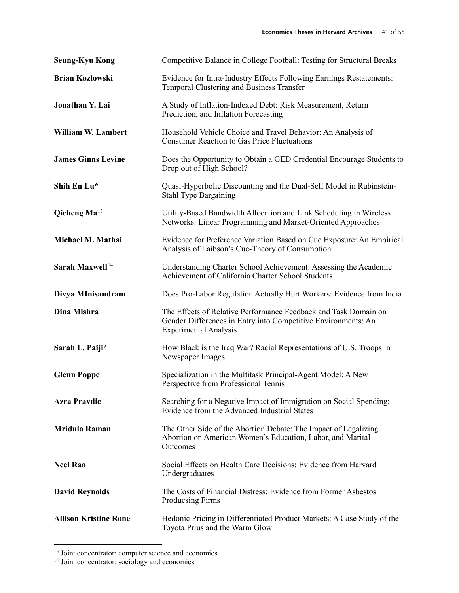| <b>Seung-Kyu Kong</b>           | Competitive Balance in College Football: Testing for Structural Breaks                                                                                           |
|---------------------------------|------------------------------------------------------------------------------------------------------------------------------------------------------------------|
| <b>Brian Kozlowski</b>          | Evidence for Intra-Industry Effects Following Earnings Restatements:<br>Temporal Clustering and Business Transfer                                                |
| Jonathan Y. Lai                 | A Study of Inflation-Indexed Debt: Risk Measurement, Return<br>Prediction, and Inflation Forecasting                                                             |
| <b>William W. Lambert</b>       | Household Vehicle Choice and Travel Behavior: An Analysis of<br><b>Consumer Reaction to Gas Price Fluctuations</b>                                               |
| <b>James Ginns Levine</b>       | Does the Opportunity to Obtain a GED Credential Encourage Students to<br>Drop out of High School?                                                                |
| Shih En Lu*                     | Quasi-Hyperbolic Discounting and the Dual-Self Model in Rubinstein-<br><b>Stahl Type Bargaining</b>                                                              |
| <b>Qicheng Ma</b> <sup>13</sup> | Utility-Based Bandwidth Allocation and Link Scheduling in Wireless<br>Networks: Linear Programming and Market-Oriented Approaches                                |
| Michael M. Mathai               | Evidence for Preference Variation Based on Cue Exposure: An Empirical<br>Analysis of Laibson's Cue-Theory of Consumption                                         |
| Sarah Maxwell <sup>14</sup>     | Understanding Charter School Achievement: Assessing the Academic<br>Achievement of California Charter School Students                                            |
| Divya MInisandram               | Does Pro-Labor Regulation Actually Hurt Workers: Evidence from India                                                                                             |
| Dina Mishra                     | The Effects of Relative Performance Feedback and Task Domain on<br>Gender Differences in Entry into Competitive Environments: An<br><b>Experimental Analysis</b> |
| Sarah L. Paiji*                 | How Black is the Iraq War? Racial Representations of U.S. Troops in<br>Newspaper Images                                                                          |
| <b>Glenn Poppe</b>              | Specialization in the Multitask Principal-Agent Model: A New<br>Perspective from Professional Tennis                                                             |
| <b>Azra Pravdic</b>             | Searching for a Negative Impact of Immigration on Social Spending:<br>Evidence from the Advanced Industrial States                                               |
| <b>Mridula Raman</b>            | The Other Side of the Abortion Debate: The Impact of Legalizing<br>Abortion on American Women's Education, Labor, and Marital<br>Outcomes                        |
| <b>Neel Rao</b>                 | Social Effects on Health Care Decisions: Evidence from Harvard<br>Undergraduates                                                                                 |
| <b>David Reynolds</b>           | The Costs of Financial Distress: Evidence from Former Asbestos<br><b>Producing Firms</b>                                                                         |
| <b>Allison Kristine Rone</b>    | Hedonic Pricing in Differentiated Product Markets: A Case Study of the<br>Toyota Prius and the Warm Glow                                                         |

<span id="page-40-1"></span><span id="page-40-0"></span><sup>&</sup>lt;sup>13</sup> Joint concentrator: computer science and economics <sup>14</sup> Joint concentrator: sociology and economics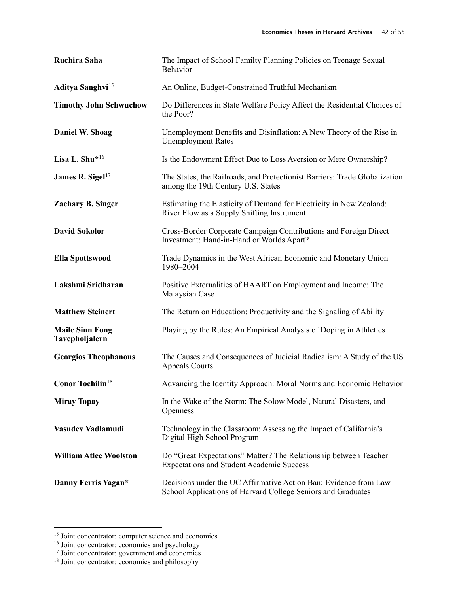| Ruchira Saha                             | The Impact of School Familty Planning Policies on Teenage Sexual<br>Behavior                                                     |
|------------------------------------------|----------------------------------------------------------------------------------------------------------------------------------|
| Aditya Sanghvi <sup>15</sup>             | An Online, Budget-Constrained Truthful Mechanism                                                                                 |
| <b>Timothy John Schwuchow</b>            | Do Differences in State Welfare Policy Affect the Residential Choices of<br>the Poor?                                            |
| Daniel W. Shoag                          | Unemployment Benefits and Disinflation: A New Theory of the Rise in<br><b>Unemployment Rates</b>                                 |
| Lisa L. Shu <sup>*16</sup>               | Is the Endowment Effect Due to Loss Aversion or Mere Ownership?                                                                  |
| James R. Sigel $17$                      | The States, the Railroads, and Protectionist Barriers: Trade Globalization<br>among the 19th Century U.S. States                 |
| <b>Zachary B. Singer</b>                 | Estimating the Elasticity of Demand for Electricity in New Zealand:<br>River Flow as a Supply Shifting Instrument                |
| <b>David Sokolor</b>                     | Cross-Border Corporate Campaign Contributions and Foreign Direct<br>Investment: Hand-in-Hand or Worlds Apart?                    |
| <b>Ella Spottswood</b>                   | Trade Dynamics in the West African Economic and Monetary Union<br>1980-2004                                                      |
| Lakshmi Sridharan                        | Positive Externalities of HAART on Employment and Income: The<br>Malaysian Case                                                  |
| <b>Matthew Steinert</b>                  | The Return on Education: Productivity and the Signaling of Ability                                                               |
| <b>Maile Sinn Fong</b><br>Tavepholjalern | Playing by the Rules: An Empirical Analysis of Doping in Athletics                                                               |
| <b>Georgios Theophanous</b>              | The Causes and Consequences of Judicial Radicalism: A Study of the US<br><b>Appeals Courts</b>                                   |
| <b>Conor Tochilin</b> <sup>18</sup>      | Advancing the Identity Approach: Moral Norms and Economic Behavior                                                               |
| <b>Miray Topay</b>                       | In the Wake of the Storm: The Solow Model, Natural Disasters, and<br>Openness                                                    |
| Vasudev Vadlamudi                        | Technology in the Classroom: Assessing the Impact of California's<br>Digital High School Program                                 |
| <b>William Atlee Woolston</b>            | Do "Great Expectations" Matter? The Relationship between Teacher<br><b>Expectations and Student Academic Success</b>             |
| Danny Ferris Yagan*                      | Decisions under the UC Affirmative Action Ban: Evidence from Law<br>School Applications of Harvard College Seniors and Graduates |

<span id="page-41-0"></span><sup>&</sup>lt;sup>15</sup> Joint concentrator: computer science and economics

<span id="page-41-1"></span><sup>&</sup>lt;sup>16</sup> Joint concentrator: economics and psychology

<span id="page-41-2"></span><sup>&</sup>lt;sup>17</sup> Joint concentrator: government and economics

<span id="page-41-3"></span><sup>&</sup>lt;sup>18</sup> Joint concentrator: economics and philosophy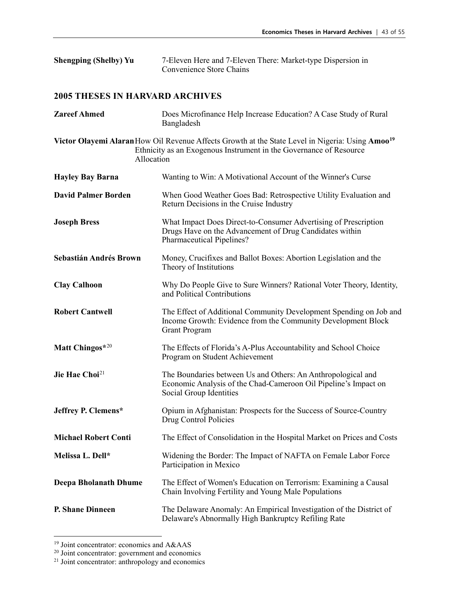| <b>Shengping (Shelby) Yu</b> | 7-Eleven Here and 7-Eleven There: Market-type Dispersion in |
|------------------------------|-------------------------------------------------------------|
|                              | Convenience Store Chains                                    |

| <b>Zareef Ahmed</b>          | Does Microfinance Help Increase Education? A Case Study of Rural<br>Bangladesh                                                                                                     |
|------------------------------|------------------------------------------------------------------------------------------------------------------------------------------------------------------------------------|
| Allocation                   | Victor Olayemi Alaran How Oil Revenue Affects Growth at the State Level in Nigeria: Using Amoo <sup>19</sup><br>Ethnicity as an Exogenous Instrument in the Governance of Resource |
| <b>Hayley Bay Barna</b>      | Wanting to Win: A Motivational Account of the Winner's Curse                                                                                                                       |
| <b>David Palmer Borden</b>   | When Good Weather Goes Bad: Retrospective Utility Evaluation and<br>Return Decisions in the Cruise Industry                                                                        |
| <b>Joseph Bress</b>          | What Impact Does Direct-to-Consumer Advertising of Prescription<br>Drugs Have on the Advancement of Drug Candidates within<br>Pharmaceutical Pipelines?                            |
| Sebastián Andrés Brown       | Money, Crucifixes and Ballot Boxes: Abortion Legislation and the<br>Theory of Institutions                                                                                         |
| <b>Clay Calhoon</b>          | Why Do People Give to Sure Winners? Rational Voter Theory, Identity,<br>and Political Contributions                                                                                |
| <b>Robert Cantwell</b>       | The Effect of Additional Community Development Spending on Job and<br>Income Growth: Evidence from the Community Development Block<br><b>Grant Program</b>                         |
| Matt Chingos*20              | The Effects of Florida's A-Plus Accountability and School Choice<br>Program on Student Achievement                                                                                 |
| Jie Hae Choi <sup>21</sup>   | The Boundaries between Us and Others: An Anthropological and<br>Economic Analysis of the Chad-Cameroon Oil Pipeline's Impact on<br>Social Group Identities                         |
| Jeffrey P. Clemens*          | Opium in Afghanistan: Prospects for the Success of Source-Country<br>Drug Control Policies                                                                                         |
| <b>Michael Robert Conti</b>  | The Effect of Consolidation in the Hospital Market on Prices and Costs                                                                                                             |
| Melissa L. Dell*             | Widening the Border: The Impact of NAFTA on Female Labor Force<br>Participation in Mexico                                                                                          |
| <b>Deepa Bholanath Dhume</b> | The Effect of Women's Education on Terrorism: Examining a Causal<br>Chain Involving Fertility and Young Male Populations                                                           |
| <b>P. Shane Dinneen</b>      | The Delaware Anomaly: An Empirical Investigation of the District of<br>Delaware's Abnormally High Bankruptcy Refiling Rate                                                         |

<span id="page-42-0"></span> <sup>19</sup> Joint concentrator: economics and A&AAS

<span id="page-42-2"></span><span id="page-42-1"></span><sup>&</sup>lt;sup>20</sup> Joint concentrator: government and economics<br><sup>21</sup> Joint concentrator: anthropology and economics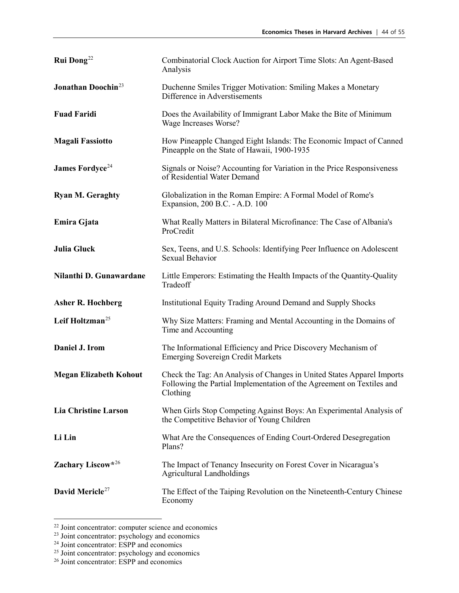| Rui Dong <sup>22</sup>                | Combinatorial Clock Auction for Airport Time Slots: An Agent-Based<br>Analysis                                                                              |
|---------------------------------------|-------------------------------------------------------------------------------------------------------------------------------------------------------------|
| <b>Jonathan Doochin</b> <sup>23</sup> | Duchenne Smiles Trigger Motivation: Smiling Makes a Monetary<br>Difference in Adverstisements                                                               |
| <b>Fuad Faridi</b>                    | Does the Availability of Immigrant Labor Make the Bite of Minimum<br>Wage Increases Worse?                                                                  |
| <b>Magali Fassiotto</b>               | How Pineapple Changed Eight Islands: The Economic Impact of Canned<br>Pineapple on the State of Hawaii, 1900-1935                                           |
| <b>James Fordyce</b> <sup>24</sup>    | Signals or Noise? Accounting for Variation in the Price Responsiveness<br>of Residential Water Demand                                                       |
| <b>Ryan M. Geraghty</b>               | Globalization in the Roman Empire: A Formal Model of Rome's<br>Expansion, 200 B.C. - A.D. 100                                                               |
| Emira Gjata                           | What Really Matters in Bilateral Microfinance: The Case of Albania's<br>ProCredit                                                                           |
| <b>Julia Gluck</b>                    | Sex, Teens, and U.S. Schools: Identifying Peer Influence on Adolescent<br>Sexual Behavior                                                                   |
| Nilanthi D. Gunawardane               | Little Emperors: Estimating the Health Impacts of the Quantity-Quality<br>Tradeoff                                                                          |
| <b>Asher R. Hochberg</b>              | Institutional Equity Trading Around Demand and Supply Shocks                                                                                                |
| Leif Holtzman <sup>25</sup>           | Why Size Matters: Framing and Mental Accounting in the Domains of<br>Time and Accounting                                                                    |
| Daniel J. Irom                        | The Informational Efficiency and Price Discovery Mechanism of<br><b>Emerging Sovereign Credit Markets</b>                                                   |
| <b>Megan Elizabeth Kohout</b>         | Check the Tag: An Analysis of Changes in United States Apparel Imports<br>Following the Partial Implementation of the Agreement on Textiles and<br>Clothing |
| <b>Lia Christine Larson</b>           | When Girls Stop Competing Against Boys: An Experimental Analysis of<br>the Competitive Behavior of Young Children                                           |
| Li Lin                                | What Are the Consequences of Ending Court-Ordered Desegregation<br>Plans?                                                                                   |
| Zachary Liscow*26                     | The Impact of Tenancy Insecurity on Forest Cover in Nicaragua's<br><b>Agricultural Landholdings</b>                                                         |
| David Mericle <sup>27</sup>           | The Effect of the Taiping Revolution on the Nineteenth-Century Chinese<br>Economy                                                                           |

<span id="page-43-0"></span> $\frac{22 \text{ Joint concentration: computer science and economics}}{}$ 

<span id="page-43-1"></span><sup>&</sup>lt;sup>23</sup> Joint concentrator: psychology and economics

<span id="page-43-2"></span><sup>&</sup>lt;sup>24</sup> Joint concentrator: ESPP and economics

<span id="page-43-3"></span> $25$  Joint concentrator: psychology and economics  $26$  Joint concentrator: ESPP and economics

<span id="page-43-4"></span>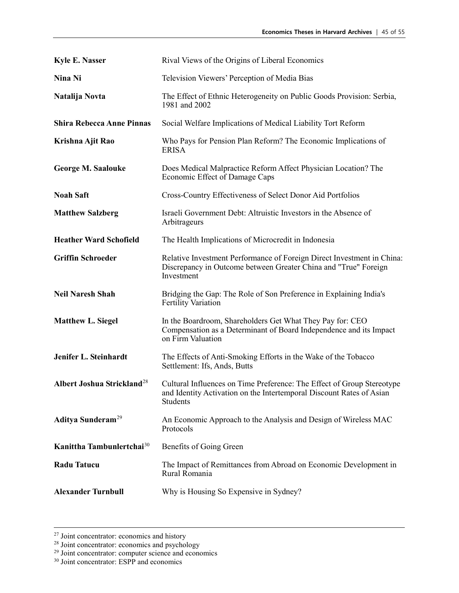| <b>Kyle E. Nasser</b>                  | Rival Views of the Origins of Liberal Economics                                                                                                            |
|----------------------------------------|------------------------------------------------------------------------------------------------------------------------------------------------------------|
| Nina Ni                                | Television Viewers' Perception of Media Bias                                                                                                               |
| Natalija Novta                         | The Effect of Ethnic Heterogeneity on Public Goods Provision: Serbia,<br>1981 and 2002                                                                     |
| <b>Shira Rebecca Anne Pinnas</b>       | Social Welfare Implications of Medical Liability Tort Reform                                                                                               |
| Krishna Ajit Rao                       | Who Pays for Pension Plan Reform? The Economic Implications of<br><b>ERISA</b>                                                                             |
| <b>George M. Saalouke</b>              | Does Medical Malpractice Reform Affect Physician Location? The<br>Economic Effect of Damage Caps                                                           |
| <b>Noah Saft</b>                       | Cross-Country Effectiveness of Select Donor Aid Portfolios                                                                                                 |
| <b>Matthew Salzberg</b>                | Israeli Government Debt: Altruistic Investors in the Absence of<br>Arbitrageurs                                                                            |
| <b>Heather Ward Schofield</b>          | The Health Implications of Microcredit in Indonesia                                                                                                        |
| <b>Griffin Schroeder</b>               | Relative Investment Performance of Foreign Direct Investment in China:<br>Discrepancy in Outcome between Greater China and "True" Foreign<br>Investment    |
| <b>Neil Naresh Shah</b>                | Bridging the Gap: The Role of Son Preference in Explaining India's<br><b>Fertility Variation</b>                                                           |
| <b>Matthew L. Siegel</b>               | In the Boardroom, Shareholders Get What They Pay for: CEO<br>Compensation as a Determinant of Board Independence and its Impact<br>on Firm Valuation       |
| Jenifer L. Steinhardt                  | The Effects of Anti-Smoking Efforts in the Wake of the Tobacco<br>Settlement: Ifs, Ands, Butts                                                             |
| Albert Joshua Strickland <sup>28</sup> | Cultural Influences on Time Preference: The Effect of Group Stereotype<br>and Identity Activation on the Intertemporal Discount Rates of Asian<br>Students |
| Aditya Sunderam <sup>29</sup>          | An Economic Approach to the Analysis and Design of Wireless MAC<br>Protocols                                                                               |
| Kanittha Tambunlertchai <sup>30</sup>  | Benefits of Going Green                                                                                                                                    |
| <b>Radu Tatucu</b>                     | The Impact of Remittances from Abroad on Economic Development in<br>Rural Romania                                                                          |
| <b>Alexander Turnbull</b>              | Why is Housing So Expensive in Sydney?                                                                                                                     |

 $2<sup>27</sup>$  Joint concentrator: economics and history

<span id="page-44-0"></span><sup>&</sup>lt;sup>28</sup> Joint concentrator: economics and psychology

<span id="page-44-1"></span><sup>&</sup>lt;sup>29</sup> Joint concentrator: computer science and economics

<span id="page-44-2"></span><sup>&</sup>lt;sup>30</sup> Joint concentrator: ESPP and economics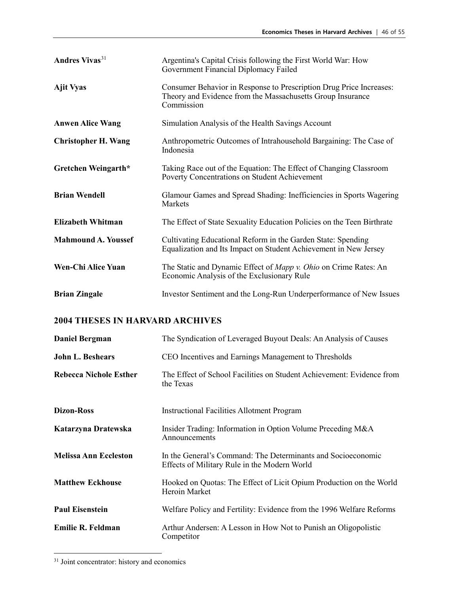| <b>Andres Vivas</b> <sup>31</sup> | Argentina's Capital Crisis following the First World War: How<br>Government Financial Diplomacy Failed                                          |
|-----------------------------------|-------------------------------------------------------------------------------------------------------------------------------------------------|
| <b>Ajit Vyas</b>                  | Consumer Behavior in Response to Prescription Drug Price Increases:<br>Theory and Evidence from the Massachusetts Group Insurance<br>Commission |
| <b>Anwen Alice Wang</b>           | Simulation Analysis of the Health Savings Account                                                                                               |
| <b>Christopher H. Wang</b>        | Anthropometric Outcomes of Intrahousehold Bargaining: The Case of<br>Indonesia                                                                  |
| Gretchen Weingarth*               | Taking Race out of the Equation: The Effect of Changing Classroom<br>Poverty Concentrations on Student Achievement                              |
| <b>Brian Wendell</b>              | Glamour Games and Spread Shading: Inefficiencies in Sports Wagering<br>Markets                                                                  |
| <b>Elizabeth Whitman</b>          | The Effect of State Sexuality Education Policies on the Teen Birthrate                                                                          |
| <b>Mahmound A. Youssef</b>        | Cultivating Educational Reform in the Garden State: Spending<br>Equalization and Its Impact on Student Achievement in New Jersey                |
| Wen-Chi Alice Yuan                | The Static and Dynamic Effect of Mapp v. Ohio on Crime Rates: An<br>Economic Analysis of the Exclusionary Rule                                  |
| <b>Brian Zingale</b>              | Investor Sentiment and the Long-Run Underperformance of New Issues                                                                              |

| <b>Daniel Bergman</b>         | The Syndication of Leveraged Buyout Deals: An Analysis of Causes                                             |
|-------------------------------|--------------------------------------------------------------------------------------------------------------|
| <b>John L. Beshears</b>       | CEO Incentives and Earnings Management to Thresholds                                                         |
| <b>Rebecca Nichole Esther</b> | The Effect of School Facilities on Student Achievement: Evidence from<br>the Texas                           |
| <b>Dizon-Ross</b>             | <b>Instructional Facilities Allotment Program</b>                                                            |
| Katarzyna Dratewska           | Insider Trading: Information in Option Volume Preceding M&A<br>Announcements                                 |
| <b>Melissa Ann Eccleston</b>  | In the General's Command: The Determinants and Socioeconomic<br>Effects of Military Rule in the Modern World |
| <b>Matthew Eckhouse</b>       | Hooked on Quotas: The Effect of Licit Opium Production on the World<br>Heroin Market                         |
| <b>Paul Eisenstein</b>        | Welfare Policy and Fertility: Evidence from the 1996 Welfare Reforms                                         |
| <b>Emilie R. Feldman</b>      | Arthur Andersen: A Lesson in How Not to Punish an Oligopolistic<br>Competitor                                |

<span id="page-45-0"></span><sup>&</sup>lt;sup>31</sup> Joint concentrator: history and economics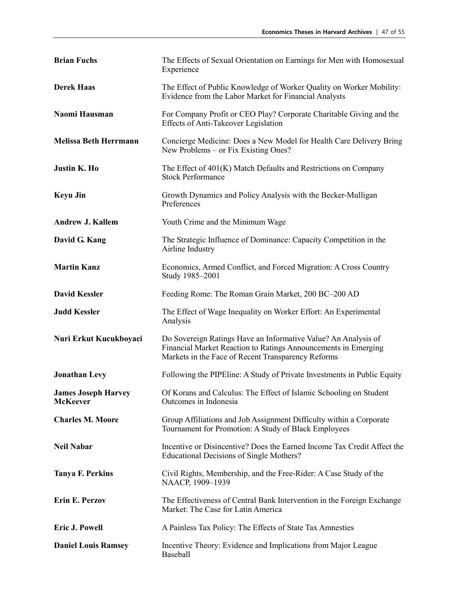| <b>Brian Fuchs</b>                            | The Effects of Sexual Orientation on Earnings for Men with Homosexual<br>Experience                                                                                                    |
|-----------------------------------------------|----------------------------------------------------------------------------------------------------------------------------------------------------------------------------------------|
| <b>Derek Haas</b>                             | The Effect of Public Knowledge of Worker Quality on Worker Mobility:<br>Evidence from the Labor Market for Financial Analysts                                                          |
| Naomi Hausman                                 | For Company Profit or CEO Play? Corporate Charitable Giving and the<br><b>Effects of Anti-Takeover Legislation</b>                                                                     |
| <b>Melissa Beth Herrmann</b>                  | Concierge Medicine: Does a New Model for Health Care Delivery Bring<br>New Problems – or Fix Existing Ones?                                                                            |
| <b>Justin K. Ho</b>                           | The Effect of 401(K) Match Defaults and Restrictions on Company<br><b>Stock Performance</b>                                                                                            |
| <b>Keyu Jin</b>                               | Growth Dynamics and Policy Analysis with the Becker-Mulligan<br>Preferences                                                                                                            |
| <b>Andrew J. Kallem</b>                       | Youth Crime and the Minimum Wage                                                                                                                                                       |
| David G. Kang                                 | The Strategic Influence of Dominance: Capacity Competition in the<br>Airline Industry                                                                                                  |
| <b>Martin Kanz</b>                            | Economics, Armed Conflict, and Forced Migration: A Cross Country<br>Study 1985-2001                                                                                                    |
| <b>David Kessler</b>                          | Feeding Rome: The Roman Grain Market, 200 BC-200 AD                                                                                                                                    |
| <b>Judd Kessler</b>                           | The Effect of Wage Inequality on Worker Effort: An Experimental<br>Analysis                                                                                                            |
| Nuri Erkut Kucukboyaci                        | Do Sovereign Ratings Have an Informative Value? An Analysis of<br>Financial Market Reaction to Ratings Announcements in Emerging<br>Markets in the Face of Recent Transparency Reforms |
| <b>Jonathan Levy</b>                          | Following the PIPEline: A Study of Private Investments in Public Equity                                                                                                                |
| <b>James Joseph Harvey</b><br><b>McKeever</b> | Of Korans and Calculus: The Effect of Islamic Schooling on Student<br>Outcomes in Indonesia                                                                                            |
| <b>Charles M. Moore</b>                       | Group Affiliations and Job Assignment Difficulty within a Corporate<br>Tournament for Promotion: A Study of Black Employees                                                            |
| <b>Neil Nabar</b>                             | Incentive or Disincentive? Does the Earned Income Tax Credit Affect the<br>Educational Decisions of Single Mothers?                                                                    |
| <b>Tanya F. Perkins</b>                       | Civil Rights, Membership, and the Free-Rider: A Case Study of the<br>NAACP, 1909-1939                                                                                                  |
| <b>Erin E. Perzov</b>                         | The Effectiveness of Central Bank Intervention in the Foreign Exchange<br>Market: The Case for Latin America                                                                           |
| <b>Eric J. Powell</b>                         | A Painless Tax Policy: The Effects of State Tax Amnesties                                                                                                                              |
| <b>Daniel Louis Ramsey</b>                    | Incentive Theory: Evidence and Implications from Major League<br>Baseball                                                                                                              |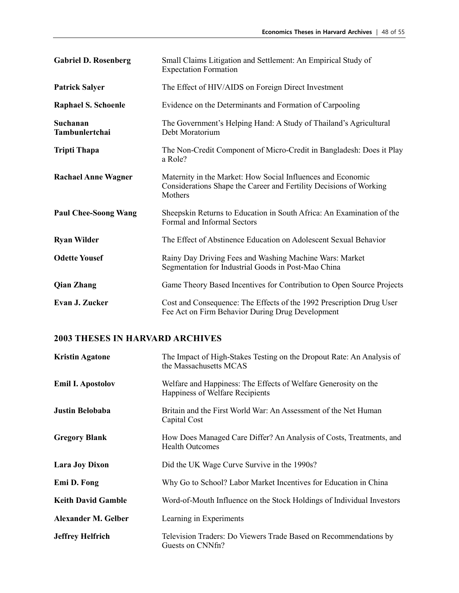| <b>Gabriel D. Rosenberg</b> | Small Claims Litigation and Settlement: An Empirical Study of<br><b>Expectation Formation</b>                                                |
|-----------------------------|----------------------------------------------------------------------------------------------------------------------------------------------|
| <b>Patrick Salyer</b>       | The Effect of HIV/AIDS on Foreign Direct Investment                                                                                          |
| <b>Raphael S. Schoenle</b>  | Evidence on the Determinants and Formation of Carpooling                                                                                     |
| Suchanan<br>Tambunlertchai  | The Government's Helping Hand: A Study of Thailand's Agricultural<br>Debt Moratorium                                                         |
| <b>Tripti Thapa</b>         | The Non-Credit Component of Micro-Credit in Bangladesh: Does it Play<br>a Role?                                                              |
| <b>Rachael Anne Wagner</b>  | Maternity in the Market: How Social Influences and Economic<br>Considerations Shape the Career and Fertility Decisions of Working<br>Mothers |
| <b>Paul Chee-Soong Wang</b> | Sheepskin Returns to Education in South Africa: An Examination of the<br>Formal and Informal Sectors                                         |
| <b>Ryan Wilder</b>          | The Effect of Abstinence Education on Adolescent Sexual Behavior                                                                             |
| <b>Odette Yousef</b>        | Rainy Day Driving Fees and Washing Machine Wars: Market<br>Segmentation for Industrial Goods in Post-Mao China                               |
| <b>Qian Zhang</b>           | Game Theory Based Incentives for Contribution to Open Source Projects                                                                        |
| <b>Evan J. Zucker</b>       | Cost and Consequence: The Effects of the 1992 Prescription Drug User<br>Fee Act on Firm Behavior During Drug Development                     |

| <b>Kristin Agatone</b>     | The Impact of High-Stakes Testing on the Dropout Rate: An Analysis of<br>the Massachusetts MCAS    |
|----------------------------|----------------------------------------------------------------------------------------------------|
| <b>Emil I. Apostolov</b>   | Welfare and Happiness: The Effects of Welfare Generosity on the<br>Happiness of Welfare Recipients |
| Justin Belobaba            | Britain and the First World War: An Assessment of the Net Human<br>Capital Cost                    |
| <b>Gregory Blank</b>       | How Does Managed Care Differ? An Analysis of Costs, Treatments, and<br><b>Health Outcomes</b>      |
| <b>Lara Joy Dixon</b>      | Did the UK Wage Curve Survive in the 1990s?                                                        |
| Emi D. Fong                | Why Go to School? Labor Market Incentives for Education in China                                   |
| <b>Keith David Gamble</b>  | Word-of-Mouth Influence on the Stock Holdings of Individual Investors                              |
| <b>Alexander M. Gelber</b> | Learning in Experiments                                                                            |
| <b>Jeffrey Helfrich</b>    | Television Traders: Do Viewers Trade Based on Recommendations by<br>Guests on CNNfn?               |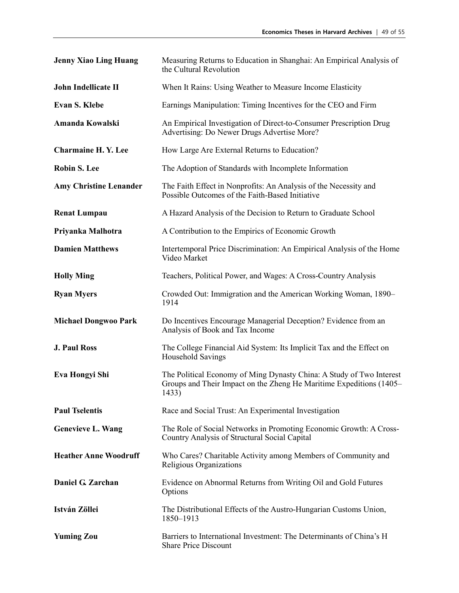| <b>Jenny Xiao Ling Huang</b>  | Measuring Returns to Education in Shanghai: An Empirical Analysis of<br>the Cultural Revolution                                                      |
|-------------------------------|------------------------------------------------------------------------------------------------------------------------------------------------------|
| <b>John Indellicate II</b>    | When It Rains: Using Weather to Measure Income Elasticity                                                                                            |
| <b>Evan S. Klebe</b>          | Earnings Manipulation: Timing Incentives for the CEO and Firm                                                                                        |
| Amanda Kowalski               | An Empirical Investigation of Direct-to-Consumer Prescription Drug<br>Advertising: Do Newer Drugs Advertise More?                                    |
| <b>Charmaine H. Y. Lee</b>    | How Large Are External Returns to Education?                                                                                                         |
| <b>Robin S. Lee</b>           | The Adoption of Standards with Incomplete Information                                                                                                |
| <b>Amy Christine Lenander</b> | The Faith Effect in Nonprofits: An Analysis of the Necessity and<br>Possible Outcomes of the Faith-Based Initiative                                  |
| <b>Renat Lumpau</b>           | A Hazard Analysis of the Decision to Return to Graduate School                                                                                       |
| Priyanka Malhotra             | A Contribution to the Empirics of Economic Growth                                                                                                    |
| <b>Damien Matthews</b>        | Intertemporal Price Discrimination: An Empirical Analysis of the Home<br>Video Market                                                                |
| <b>Holly Ming</b>             | Teachers, Political Power, and Wages: A Cross-Country Analysis                                                                                       |
| <b>Ryan Myers</b>             | Crowded Out: Immigration and the American Working Woman, 1890–<br>1914                                                                               |
| <b>Michael Dongwoo Park</b>   | Do Incentives Encourage Managerial Deception? Evidence from an<br>Analysis of Book and Tax Income                                                    |
| <b>J. Paul Ross</b>           | The College Financial Aid System: Its Implicit Tax and the Effect on<br>Household Savings                                                            |
| Eva Hongyi Shi                | The Political Economy of Ming Dynasty China: A Study of Two Interest<br>Groups and Their Impact on the Zheng He Maritime Expeditions (1405–<br>1433) |
| <b>Paul Tselentis</b>         | Race and Social Trust: An Experimental Investigation                                                                                                 |
| <b>Genevieve L. Wang</b>      | The Role of Social Networks in Promoting Economic Growth: A Cross-<br>Country Analysis of Structural Social Capital                                  |
| <b>Heather Anne Woodruff</b>  | Who Cares? Charitable Activity among Members of Community and<br>Religious Organizations                                                             |
| Daniel G. Zarchan             | Evidence on Abnormal Returns from Writing Oil and Gold Futures<br>Options                                                                            |
| István Zöllei                 | The Distributional Effects of the Austro-Hungarian Customs Union,<br>1850-1913                                                                       |
| <b>Yuming Zou</b>             | Barriers to International Investment: The Determinants of China's H<br><b>Share Price Discount</b>                                                   |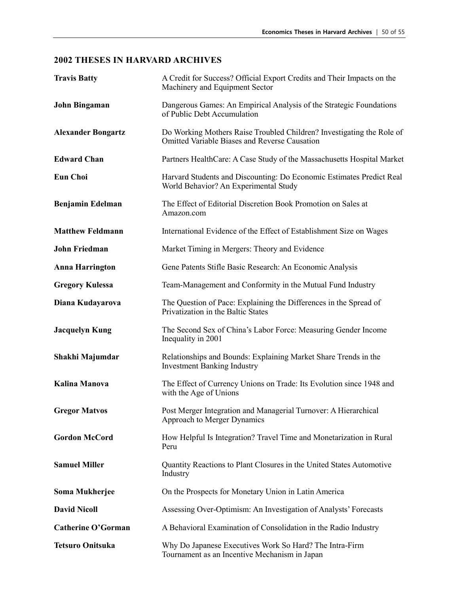| <b>Travis Batty</b>       | A Credit for Success? Official Export Credits and Their Impacts on the<br>Machinery and Equipment Sector                      |
|---------------------------|-------------------------------------------------------------------------------------------------------------------------------|
| <b>John Bingaman</b>      | Dangerous Games: An Empirical Analysis of the Strategic Foundations<br>of Public Debt Accumulation                            |
| <b>Alexander Bongartz</b> | Do Working Mothers Raise Troubled Children? Investigating the Role of<br><b>Omitted Variable Biases and Reverse Causation</b> |
| <b>Edward Chan</b>        | Partners HealthCare: A Case Study of the Massachusetts Hospital Market                                                        |
| <b>Eun Choi</b>           | Harvard Students and Discounting: Do Economic Estimates Predict Real<br>World Behavior? An Experimental Study                 |
| <b>Benjamin Edelman</b>   | The Effect of Editorial Discretion Book Promotion on Sales at<br>Amazon.com                                                   |
| <b>Matthew Feldmann</b>   | International Evidence of the Effect of Establishment Size on Wages                                                           |
| <b>John Friedman</b>      | Market Timing in Mergers: Theory and Evidence                                                                                 |
| <b>Anna Harrington</b>    | Gene Patents Stifle Basic Research: An Economic Analysis                                                                      |
| <b>Gregory Kulessa</b>    | Team-Management and Conformity in the Mutual Fund Industry                                                                    |
| Diana Kudayarova          | The Question of Pace: Explaining the Differences in the Spread of<br>Privatization in the Baltic States                       |
| <b>Jacquelyn Kung</b>     | The Second Sex of China's Labor Force: Measuring Gender Income<br>Inequality in 2001                                          |
| Shakhi Majumdar           | Relationships and Bounds: Explaining Market Share Trends in the<br><b>Investment Banking Industry</b>                         |
| <b>Kalina Manova</b>      | The Effect of Currency Unions on Trade: Its Evolution since 1948 and<br>with the Age of Unions                                |
| <b>Gregor Matvos</b>      | Post Merger Integration and Managerial Turnover: A Hierarchical<br><b>Approach to Merger Dynamics</b>                         |
| <b>Gordon McCord</b>      | How Helpful Is Integration? Travel Time and Monetarization in Rural<br>Peru                                                   |
| <b>Samuel Miller</b>      | Quantity Reactions to Plant Closures in the United States Automotive<br>Industry                                              |
| Soma Mukherjee            | On the Prospects for Monetary Union in Latin America                                                                          |
| <b>David Nicoll</b>       | Assessing Over-Optimism: An Investigation of Analysts' Forecasts                                                              |
| <b>Catherine O'Gorman</b> | A Behavioral Examination of Consolidation in the Radio Industry                                                               |
| <b>Tetsuro Onitsuka</b>   | Why Do Japanese Executives Work So Hard? The Intra-Firm<br>Tournament as an Incentive Mechanism in Japan                      |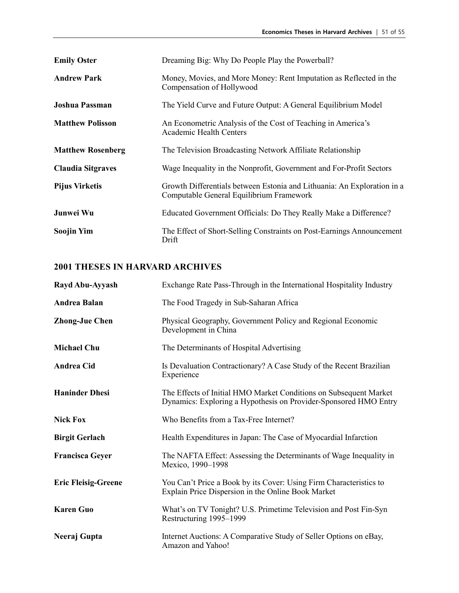| <b>Emily Oster</b>       | Dreaming Big: Why Do People Play the Powerball?                                                                     |
|--------------------------|---------------------------------------------------------------------------------------------------------------------|
| <b>Andrew Park</b>       | Money, Movies, and More Money: Rent Imputation as Reflected in the<br>Compensation of Hollywood                     |
| Joshua Passman           | The Yield Curve and Future Output: A General Equilibrium Model                                                      |
| <b>Matthew Polisson</b>  | An Econometric Analysis of the Cost of Teaching in America's<br><b>Academic Health Centers</b>                      |
| <b>Matthew Rosenberg</b> | The Television Broadcasting Network Affiliate Relationship                                                          |
| <b>Claudia Sitgraves</b> | Wage Inequality in the Nonprofit, Government and For-Profit Sectors                                                 |
| <b>Pijus Virketis</b>    | Growth Differentials between Estonia and Lithuania: An Exploration in a<br>Computable General Equilibrium Framework |
| Junwei Wu                | Educated Government Officials: Do They Really Make a Difference?                                                    |
| Soojin Yim               | The Effect of Short-Selling Constraints on Post-Earnings Announcement<br>Drift                                      |

| Rayd Abu-Ayyash            | Exchange Rate Pass-Through in the International Hospitality Industry                                                                  |
|----------------------------|---------------------------------------------------------------------------------------------------------------------------------------|
| <b>Andrea Balan</b>        | The Food Tragedy in Sub-Saharan Africa                                                                                                |
| <b>Zhong-Jue Chen</b>      | Physical Geography, Government Policy and Regional Economic<br>Development in China                                                   |
| <b>Michael Chu</b>         | The Determinants of Hospital Advertising                                                                                              |
| <b>Andrea Cid</b>          | Is Devaluation Contractionary? A Case Study of the Recent Brazilian<br>Experience                                                     |
| <b>Haninder Dhesi</b>      | The Effects of Initial HMO Market Conditions on Subsequent Market<br>Dynamics: Exploring a Hypothesis on Provider-Sponsored HMO Entry |
| <b>Nick Fox</b>            | Who Benefits from a Tax-Free Internet?                                                                                                |
| <b>Birgit Gerlach</b>      | Health Expenditures in Japan: The Case of Myocardial Infarction                                                                       |
| <b>Francisca Geyer</b>     | The NAFTA Effect: Assessing the Determinants of Wage Inequality in<br>Mexico, 1990-1998                                               |
| <b>Eric Fleisig-Greene</b> | You Can't Price a Book by its Cover: Using Firm Characteristics to<br>Explain Price Dispersion in the Online Book Market              |
| <b>Karen Guo</b>           | What's on TV Tonight? U.S. Primetime Television and Post Fin-Syn<br>Restructuring 1995-1999                                           |
| Neeraj Gupta               | Internet Auctions: A Comparative Study of Seller Options on eBay,<br>Amazon and Yahoo!                                                |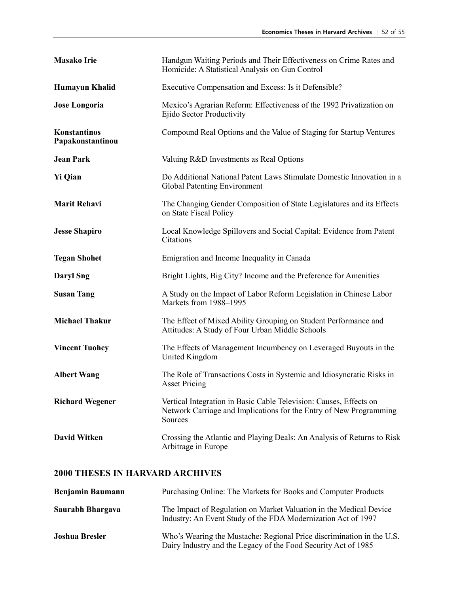| <b>Masako Irie</b>               | Handgun Waiting Periods and Their Effectiveness on Crime Rates and<br>Homicide: A Statistical Analysis on Gun Control                               |
|----------------------------------|-----------------------------------------------------------------------------------------------------------------------------------------------------|
| Humayun Khalid                   | Executive Compensation and Excess: Is it Defensible?                                                                                                |
| <b>Jose Longoria</b>             | Mexico's Agrarian Reform: Effectiveness of the 1992 Privatization on<br>Ejido Sector Productivity                                                   |
| Konstantinos<br>Papakonstantinou | Compound Real Options and the Value of Staging for Startup Ventures                                                                                 |
| <b>Jean Park</b>                 | Valuing R&D Investments as Real Options                                                                                                             |
| <b>Yi Qian</b>                   | Do Additional National Patent Laws Stimulate Domestic Innovation in a<br>Global Patenting Environment                                               |
| <b>Marit Rehavi</b>              | The Changing Gender Composition of State Legislatures and its Effects<br>on State Fiscal Policy                                                     |
| <b>Jesse Shapiro</b>             | Local Knowledge Spillovers and Social Capital: Evidence from Patent<br>Citations                                                                    |
| <b>Tegan Shohet</b>              | Emigration and Income Inequality in Canada                                                                                                          |
| <b>Daryl Sng</b>                 | Bright Lights, Big City? Income and the Preference for Amenities                                                                                    |
| <b>Susan Tang</b>                | A Study on the Impact of Labor Reform Legislation in Chinese Labor<br>Markets from 1988-1995                                                        |
| <b>Michael Thakur</b>            | The Effect of Mixed Ability Grouping on Student Performance and<br>Attitudes: A Study of Four Urban Middle Schools                                  |
| <b>Vincent Tuohey</b>            | The Effects of Management Incumbency on Leveraged Buyouts in the<br>United Kingdom                                                                  |
| <b>Albert Wang</b>               | The Role of Transactions Costs in Systemic and Idiosyncratic Risks in<br><b>Asset Pricing</b>                                                       |
| <b>Richard Wegener</b>           | Vertical Integration in Basic Cable Television: Causes, Effects on<br>Network Carriage and Implications for the Entry of New Programming<br>Sources |
| <b>David Witken</b>              | Crossing the Atlantic and Playing Deals: An Analysis of Returns to Risk<br>Arbitrage in Europe                                                      |

| <b>Benjamin Baumann</b> | Purchasing Online: The Markets for Books and Computer Products                                                                          |
|-------------------------|-----------------------------------------------------------------------------------------------------------------------------------------|
| Saurabh Bhargava        | The Impact of Regulation on Market Valuation in the Medical Device<br>Industry: An Event Study of the FDA Modernization Act of 1997     |
| <b>Joshua Bresler</b>   | Who's Wearing the Mustache: Regional Price discrimination in the U.S.<br>Dairy Industry and the Legacy of the Food Security Act of 1985 |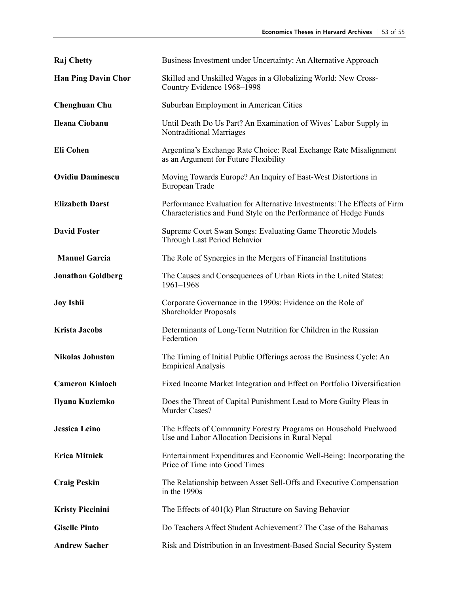| <b>Raj</b> Chetty          | Business Investment under Uncertainty: An Alternative Approach                                                                              |
|----------------------------|---------------------------------------------------------------------------------------------------------------------------------------------|
| <b>Han Ping Davin Chor</b> | Skilled and Unskilled Wages in a Globalizing World: New Cross-<br>Country Evidence 1968-1998                                                |
| <b>Chenghuan Chu</b>       | Suburban Employment in American Cities                                                                                                      |
| Ileana Ciobanu             | Until Death Do Us Part? An Examination of Wives' Labor Supply in<br><b>Nontraditional Marriages</b>                                         |
| <b>Eli Cohen</b>           | Argentina's Exchange Rate Choice: Real Exchange Rate Misalignment<br>as an Argument for Future Flexibility                                  |
| <b>Ovidiu Daminescu</b>    | Moving Towards Europe? An Inquiry of East-West Distortions in<br>European Trade                                                             |
| <b>Elizabeth Darst</b>     | Performance Evaluation for Alternative Investments: The Effects of Firm<br>Characteristics and Fund Style on the Performance of Hedge Funds |
| <b>David Foster</b>        | Supreme Court Swan Songs: Evaluating Game Theoretic Models<br>Through Last Period Behavior                                                  |
| <b>Manuel Garcia</b>       | The Role of Synergies in the Mergers of Financial Institutions                                                                              |
| <b>Jonathan Goldberg</b>   | The Causes and Consequences of Urban Riots in the United States:<br>1961-1968                                                               |
| <b>Joy Ishii</b>           | Corporate Governance in the 1990s: Evidence on the Role of<br>Shareholder Proposals                                                         |
| <b>Krista Jacobs</b>       | Determinants of Long-Term Nutrition for Children in the Russian<br>Federation                                                               |
| <b>Nikolas Johnston</b>    | The Timing of Initial Public Offerings across the Business Cycle: An<br><b>Empirical Analysis</b>                                           |
| <b>Cameron Kinloch</b>     | Fixed Income Market Integration and Effect on Portfolio Diversification                                                                     |
| Ilyana Kuziemko            | Does the Threat of Capital Punishment Lead to More Guilty Pleas in<br>Murder Cases?                                                         |
| <b>Jessica Leino</b>       | The Effects of Community Forestry Programs on Household Fuelwood<br>Use and Labor Allocation Decisions in Rural Nepal                       |
| <b>Erica Mitnick</b>       | Entertainment Expenditures and Economic Well-Being: Incorporating the<br>Price of Time into Good Times                                      |
| <b>Craig Peskin</b>        | The Relationship between Asset Sell-Offs and Executive Compensation<br>in the 1990s                                                         |
| <b>Kristy Piccinini</b>    | The Effects of 401(k) Plan Structure on Saving Behavior                                                                                     |
| <b>Giselle Pinto</b>       | Do Teachers Affect Student Achievement? The Case of the Bahamas                                                                             |
| <b>Andrew Sacher</b>       | Risk and Distribution in an Investment-Based Social Security System                                                                         |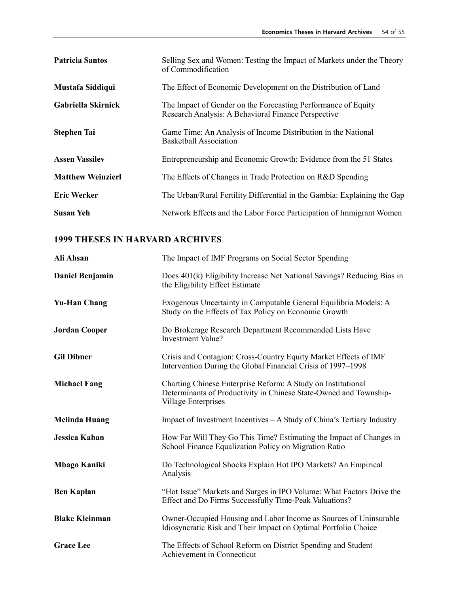| <b>Patricia Santos</b>   | Selling Sex and Women: Testing the Impact of Markets under the Theory<br>of Commodification                          |
|--------------------------|----------------------------------------------------------------------------------------------------------------------|
| Mustafa Siddiqui         | The Effect of Economic Development on the Distribution of Land                                                       |
| Gabriella Skirnick       | The Impact of Gender on the Forecasting Performance of Equity<br>Research Analysis: A Behavioral Finance Perspective |
| <b>Stephen Tai</b>       | Game Time: An Analysis of Income Distribution in the National<br><b>Basketball Association</b>                       |
| <b>Assen Vassilev</b>    | Entrepreneurship and Economic Growth: Evidence from the 51 States                                                    |
| <b>Matthew Weinzierl</b> | The Effects of Changes in Trade Protection on R&D Spending                                                           |
| <b>Eric Werker</b>       | The Urban/Rural Fertility Differential in the Gambia: Explaining the Gap                                             |
| <b>Susan Yeh</b>         | Network Effects and the Labor Force Participation of Immigrant Women                                                 |

| Ali Ahsan              | The Impact of IMF Programs on Social Sector Spending                                                                                                     |
|------------------------|----------------------------------------------------------------------------------------------------------------------------------------------------------|
| <b>Daniel Benjamin</b> | Does 401(k) Eligibility Increase Net National Savings? Reducing Bias in<br>the Eligibility Effect Estimate                                               |
| <b>Yu-Han Chang</b>    | Exogenous Uncertainty in Computable General Equilibria Models: A<br>Study on the Effects of Tax Policy on Economic Growth                                |
| <b>Jordan Cooper</b>   | Do Brokerage Research Department Recommended Lists Have<br><b>Investment Value?</b>                                                                      |
| <b>Gil Dibner</b>      | Crisis and Contagion: Cross-Country Equity Market Effects of IMF<br>Intervention During the Global Financial Crisis of 1997–1998                         |
| <b>Michael Fang</b>    | Charting Chinese Enterprise Reform: A Study on Institutional<br>Determinants of Productivity in Chinese State-Owned and Township-<br>Village Enterprises |
| <b>Melinda Huang</b>   | Impact of Investment Incentives $-A$ Study of China's Tertiary Industry                                                                                  |
| <b>Jessica Kahan</b>   | How Far Will They Go This Time? Estimating the Impact of Changes in<br>School Finance Equalization Policy on Migration Ratio                             |
| <b>Mbago Kaniki</b>    | Do Technological Shocks Explain Hot IPO Markets? An Empirical<br>Analysis                                                                                |
| <b>Ben Kaplan</b>      | "Hot Issue" Markets and Surges in IPO Volume: What Factors Drive the<br>Effect and Do Firms Successfully Time-Peak Valuations?                           |
| <b>Blake Kleinman</b>  | Owner-Occupied Housing and Labor Income as Sources of Uninsurable<br>Idiosyncratic Risk and Their Impact on Optimal Portfolio Choice                     |
| <b>Grace Lee</b>       | The Effects of School Reform on District Spending and Student<br>Achievement in Connecticut                                                              |